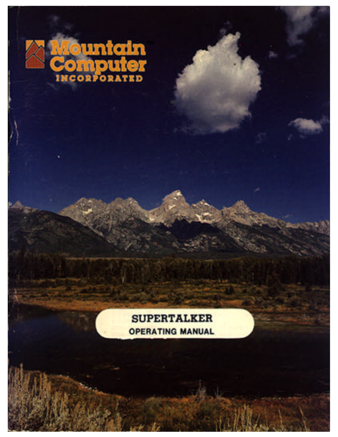

**SUPERTALKER OPERATING MANUAL**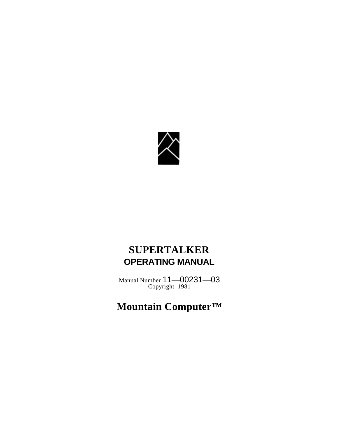

## **SUPERTALKER OPERATING MANUAL**

Manual Number 11—00231—03 Copyright 1981

# **Mountain Computer™**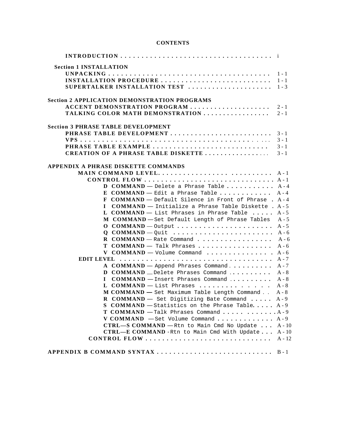### **CONTENTS**

| <b>Section 1 INSTALLATION</b>                                        |  |
|----------------------------------------------------------------------|--|
|                                                                      |  |
|                                                                      |  |
|                                                                      |  |
|                                                                      |  |
| <b>Section 2 APPLICATION DEMONSTRATION PROGRAMS</b>                  |  |
| ACCENT DEMONSTRATION PROGRAM  2-1                                    |  |
| TALKING COLOR MATH DEMONSTRATION  2-1                                |  |
| <b>Section 3 PHRASE TABLE DEVELOPMENT</b>                            |  |
| PHRASE TABLE DEVELOPMENT  3-1                                        |  |
|                                                                      |  |
|                                                                      |  |
|                                                                      |  |
|                                                                      |  |
| APPENDIX A PHRASE DISKETTE COMMANDS                                  |  |
| MAIN COMMAND LEVEL A-1                                               |  |
|                                                                      |  |
| <b>D</b> COMMAND — Delete a Phrase Table $A - 4$                     |  |
| E COMMAND - Edit a Phrase Table $A-4$                                |  |
| F COMMAND - Default Silence in Front of Phrase . A-4                 |  |
| $COMMAND$ - Initialize a Phrase Table Diskette . A-5<br>$\mathbf{I}$ |  |
| L COMMAND - List Phrases in Phrase Table $A - 5$                     |  |
| M COMMAND-Set Default Length of Phrase Tables A-5                    |  |
| $O$ COMMAND – Output  A-5                                            |  |
| $Q$ COMMAND – Quit  A-6                                              |  |
| <b>R COMMAND</b> - Rate Command $A - 6$                              |  |
| $T$ COMMAND - Talk Phrases  A-6                                      |  |
| <b>V COMMAND</b> — Volume Command $\dots \dots \dots \dots$ . A -6   |  |
|                                                                      |  |
| <b>A COMMAND</b> — Append Phrases Command $A - 7$                    |  |
| <b>D COMMAND</b> $\_\$ Delete Phrases Command $A - 8$                |  |
| $COMMAND$ - Insert Phrases Command  A-8<br>$\mathbf{I}$              |  |
| L COMMAND - List Phrases $A - 8$                                     |  |
| M COMMAND - Set Maximum Table Length Command A-8                     |  |
| R COMMAND - Set Digitizing Bate Command  A-9                         |  |
| <b>S COMMAND</b> - Statistics on the Phrase Table $A - 9$            |  |
| T COMMAND - Talk Phrases Command   A-9                               |  |
| <b>V COMMAND</b> $-$ Set Volume Command  A-9                         |  |
| $CTRL-S$ COMMAND - Rtn to Main Cmd No Update  A-10                   |  |
| CTRL-E COMMAND-Rtn to Main Cmd With Update A-10                      |  |
|                                                                      |  |
| APPENDIX B COMMAND SYNTAX  B-1                                       |  |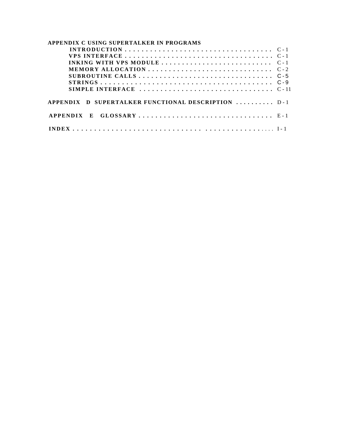| APPENDIX C USING SUPERTALKER IN PROGRAMS           |  |
|----------------------------------------------------|--|
|                                                    |  |
|                                                    |  |
|                                                    |  |
|                                                    |  |
|                                                    |  |
|                                                    |  |
|                                                    |  |
| APPENDIX D SUPERTALKER FUNCTIONAL DESCRIPTION  D-1 |  |
|                                                    |  |
|                                                    |  |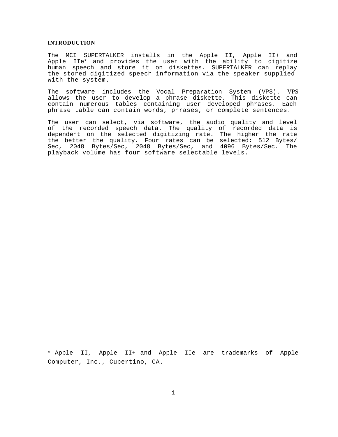#### <span id="page-4-0"></span>**INTRODUCTION**

The MCI SUPERTALKER installs in the Apple II, Apple II+ and Apple IIe\* and provides the user with the ability to digitize human speech and store it on diskettes. SUPERTALKER can replay the stored digitized speech information via the speaker supplied with the system.

The software includes the Vocal Preparation System (VPS). VPS allows the user to develop a phrase diskette. This diskette can contain numerous tables containing user developed phrases. Each phrase table can contain words, phrases, or complete sentences.

The user can select, via software, the audio quality and level of the recorded speech data. The quality of recorded data is dependent on the selected digitizing rate. The higher the rate the better the quality. Four rates can be selected: 512 Bytes/ Sec, 2048 Bytes/Sec, 2048 Bytes/Sec, and 4096 Bytes/Sec. The playback volume has four software selectable levels.

\* Apple II, Apple II+ and Apple IIe are trademarks of Apple Computer, Inc., Cupertino, CA.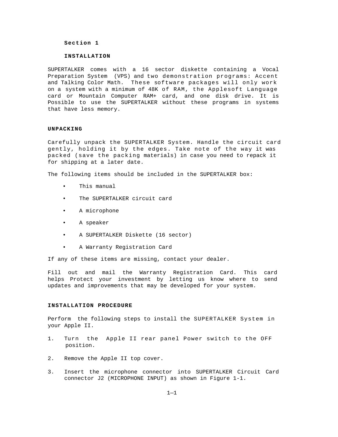#### **Section 1**

#### **INSTALLATION**

SUPERTALKER comes with a 16 sector diskette containing a Vocal Preparation System (VPS) and two demonstration programs: Accent and Talking Color Math. These software packages will only work on a system with a minimum of 48K of RAM, the Applesoft Language card or Mountain Computer RAM+ card, and one disk drive. It is Possible to use the SUPERTALKER without these programs in systems that have less memory.

#### **UNPACKING**

Carefully unpack the SUPERTALKER System. Handle the circuit card gently, holding it by the edges. Take note of the way it was packed (save the packing materials) in case you need to repack it for shipping at a later date.

<span id="page-5-0"></span>The following items should be included in the SUPERTALKER box:

- This manual
- The SUPERTALKER circuit card
- A microphone
- A speaker
- A SUPERTALKER Diskette (16 sector)
- A Warranty Registration Card

If any of these items are missing, contact your dealer.

Fill out and mail the Warranty Registration Card. This card helps Protect your investment by letting us know where to send updates and improvements that may be developed for your system.

#### **INSTALLATION PROCEDURE**

Perform the following steps to install the SUPERTALKER System in your Apple II.

- 1. Turn the Apple II rear panel Power switch to the OFF position.
- 2. Remove the Apple II top cover.
- 3. Insert the microphone connector into SUPERTALKER Circuit Card connector J2 (MICROPHONE INPUT) as shown in Figure 1-1.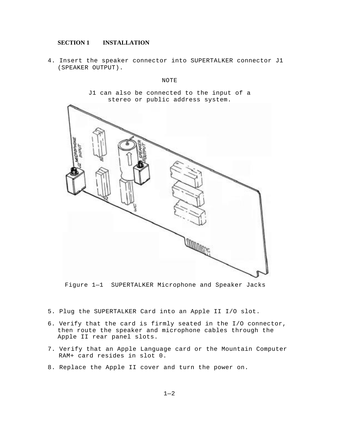### **SECTION 1 INSTALLATION**

4. Insert the speaker connector into SUPERTALKER connector J1 (SPEAKER OUTPUT).

#### NOTE

J1 can also be connected to the input of a stereo or public address system.



Figure 1—1 SUPERTALKER Microphone and Speaker Jacks

- 5. Plug the SUPERTALKER Card into an Apple II I/O slot.
- 6. Verify that the card is firmly seated in the I/O connector, then route the speaker and microphone cables through the Apple II rear panel slots.
- 7. Verify that an Apple Language card or the Mountain Computer RAM+ card resides in slot 0.
- 8. Replace the Apple II cover and turn the power on.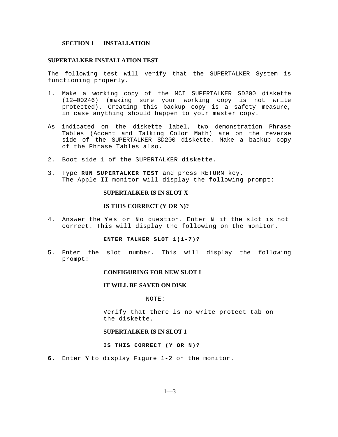### **SECTION 1 INSTALLATION**

### **SUPERTALKER INSTALLATION TEST**

The following test will verify that the SUPERTALKER System is functioning properly.

- 1. Make a working copy of the MCI SUPERTALKER SD200 diskette (12—00246) (making sure your working copy is not write protected). Creating this backup copy is a safety measure, in case anything should happen to your master copy.
- As indicated on the diskette label, two demonstration Phrase Tables (Accent and Talking Color Math) are on the reverse side of the SUPERTALKER SD200 diskette. Make a backup copy of the Phrase Tables also.
- 2. Boot side 1 of the SUPERTALKER diskette.
- 3. Type **RUN SUPERTALKER TEST** and press RETURN key. The Apple II monitor will display the following prompt:

### **SUPERTALKER IS IN SLOT X**

### **IS THIS CORRECT (Y OR N)?**

<span id="page-7-0"></span>4. Answer the **Y** es or **N** o question. Enter **N** if the slot is not correct. This will display the following on the monitor.

#### **ENTER TALKER SLOT 1(1-7)?**

5. Enter the slot number. This will display the following prompt:

#### **CONFIGURING FOR NEW SLOT I**

### **IT WILL BE SAVED ON DISK**

#### NOTE:

Verify that there is no write protect tab on the diskette.

### **SUPERTALKER IS IN SLOT 1**

#### **IS THIS CORRECT (Y OR N)?**

**6.** Enter **Y** to display Figure 1-2 on the monitor.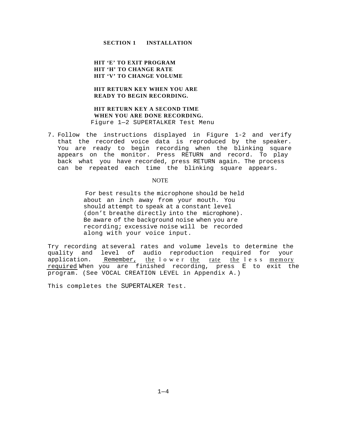### **SECTION 1 INSTALLATION**

**HIT 'E' TO EXIT PROGRAM HIT 'H' TO CHANGE RATE HIT 'V' TO CHANGE VOLUME**

### **HIT RETURN KEY WHEN YOU ARE READY TO BEGIN RECORDING.**

### **HIT RETURN KEY A SECOND TIME WHEN YOU ARE DONE RECORDING.** Figure 1—2 SUPERTALKER Test Menu

7. Follow the instructions displayed in Figure 1-2 and verify that the recorded voice data is reproduced by the speaker. You are ready to begin recording when the blinking square appears on the monitor. Press RETURN and record. To play back what you have recorded, press RETURN again. The process can be repeated each time the blinking square appears.

#### NOTE

For best results the microphone should be held about an inch away from your mouth. You should attempt to speak at a constant level (don't breathe directly into the microphone). Be aware of the background noise when you are recording; excessive noise will be recorded along with your voice input.

Try recording at several rates and volume levels to determine the quality and level of audio reproduction required for your application. Remember, the lower the rate the less memory required. When you are finished recording, press E to exit the program. (See VOCAL CREATION LEVEL in Appendix A.)

This completes the SUPERTALKER Test.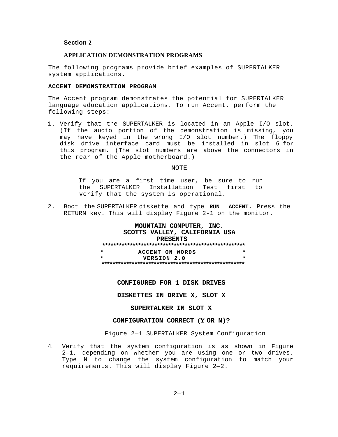### **Section 2**

#### **APPLICATION DEMONSTRATION PROGRAMS**

The following programs provide brief examples of SUPERTALKER system applications.

### **ACCENT DEMONSTRATION PROGRAM**

The Accent program demonstrates the potential for SUPERTALKER language education applications. To run Accent, perform the following steps:

1. Verify that the SUPERTALKER is located in an Apple I/O slot. (If the audio portion of the demonstration is missing, you may have keyed in the wrong I/O slot number.) The floppy disk drive interface card must be installed in slot 6 for this program. (The slot numbers are above the connectors in the rear of the Apple motherboard.)

#### NOTE

If you are a first time user, be sure to run the SUPERTALKER Installation Test first to verify that the system is operational.

<span id="page-9-0"></span>2. Boot the SUPERTALKER diskette and type **RUN ACCENT.** Press the RETURN key. This will display Figure 2-1 on the monitor.

#### **MOUNTAIN COMPUTER, INC. SCOTTS VALLEY, CALIFORNIA USA PRESENTS \*\*\*\*\*\*\*\*\*\*\*\*\*\*\*\*\*\*\*\*\*\*\*\*\*\*\*\*\*\*\*\*\*\*\*\*\*\*\*\*\*\*\*\*\*\*\*\*\*\*\*\* \* ACCENT ON WORDS \* \* VERSION 2.0 \* \*\*\*\*\*\*\*\*\*\*\*\*\*\*\*\*\*\*\*\*\*\*\*\*\*\*\*\*\*\*\*\*\*\*\*\*\*\*\*\*\*\*\*\*\*\*\*\*\*\*\*\***

#### **CONFIGURED FOR 1 DISK DRIVES**

**DISKETTES IN DRIVE X, SLOT X**

#### **SUPERTALKER IN SLOT X**

### **CONFIGURATION CORRECT (Y OR N)?**

#### Figure 2—1 SUPERTALKER System Configuration

4. Verify that the system configuration is as shown in Figure 2—1, depending on whether you are using one or two drives. Type N to change the system configuration to match your requirements. This will display Figure 2—2.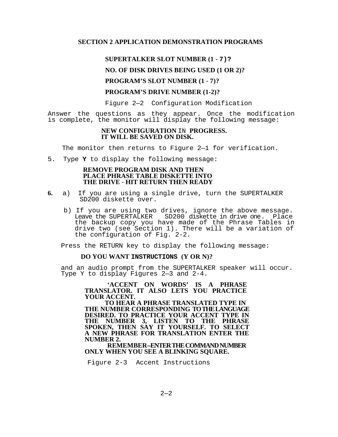### **SECTION 2 APPLICATION DEMONSTRATION PROGRAMS**

### **SUPERTALKER SLOT NUMBER (1** - **7)?**

### **NO. OF DISK DRIVES BEING USED (1 OR 2)?**

### **PROGRAM'S SLOT NUMBER (1** - **7)?**

### **PROGRAM'S DRIVE NUMBER (1-2)?**

Figure 2—2 Configuration Modification

Answer the questions as they appear. Once the modification is complete, the monitor will display the following message:

### **NEW CONFIGURATION** IN **PROGRESS. IT WILL BE SAVED ON DISK.**

The monitor then returns to Figure 2—1 for verification.

5. Type **Y** to display the following message:

### **REMOVE PROGRAM DISK AND THEN PLACE PHRASE TABLE DISKETTE INTO THE DRIVE** - **HIT RETURN THEN READY**

- **6.** a) If you are using a single drive, turn the SUPERTALKER SD200 diskette over.
	- b) If you are using two drives, ignore the above message. Leave the SUPERTALKER SD200 diskette in drive one. Place the backup copy you have made of the Phrase Tables in drive two (see Section 1). There will be a variation of the configuration of Fig. 2-2.

Press the RETURN key to display the following message:

### **DO YOU WANT INSTRUCTIONS (Y OR N)?**

and an audio prompt from the SUPERTALKER speaker will occur. Type Y to display Figures 2—3 and 2-4.

> **'ACCENT ON WORDS' IS A PHRASE TRANSLATOR. IT ALSO LETS YOU PRACTICE YOUR ACCENT.**

> **TO HEAR A PHRASE TRANSLATED TYPE IN THE NUMBER CORRESPONDING TO THE LANGUAGE DESIRED. TO PRACTICE YOUR ACCENT TYPE IN THE NUMBER 3, LISTEN TO THE PHRASE SPOKEN, THEN SAY IT YOURSELF. TO SELECT A NEW PHRASE FOR TRANSLATION ENTER THE NUMBER 2.**

**REMEMBER--ENTER THE COMMAND NUMBER ONLY WHEN YOU SEE A BLINKING SQUARE.**

Figure 2-3 Accent Instructions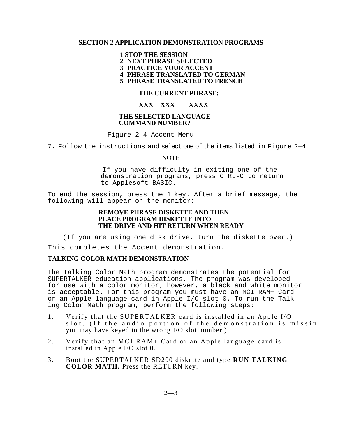### **SECTION 2 APPLICATION DEMONSTRATION PROGRAMS**

### **1 STOP THE SESSION**

**2 NEXT PHRASE SELECTED**

3 **PRACTICE YOUR ACCENT**

**4 PHRASE TRANSLATED TO GERMAN**

**5 PHRASE TRANSLATED TO FRENCH**

### **THE CURRENT PHRASE:**

### **XXX XXX XXXX**

### **THE SELECTED LANGUAGE - COMMAND NUMBER?**

Figure 2-4 Accent Menu

7. Follow the instructions and select one of the items listed in Figure 2—4

### NOTE

If you have difficulty in exiting one of the demonstration programs, press CTRL-C to return to Applesoft BASIC.

To end the session, press the 1 key. After a brief message, the following will appear on the monitor:

### **REMOVE PHRASE DISKETTE AND THEN PLACE PROGRAM DISKETTE INTO THE DRIVE AND HIT RETURN WHEN READY**

(If you are using one disk drive, turn the diskette over.) This completes the Accent demonstration.

## **TALKING COLOR MATH DEMONSTRATION**

The Talking Color Math program demonstrates the potential for SUPERTALKER education applications. The program was developed for use with a color monitor; however, a black and white monitor is acceptable. For this program you must have an MCI RAM+ Card or an Apple language card in Apple I/O slot 0. To run the Talking Color Math program, perform the following steps:

- 1. Verify that the SUPERTALKER card is installed in an Apple I/O slot. (If the audio portion of the demonstration is missin you may have keyed in the wrong I/O slot number.)
- 2. Verify that an MCI RAM+ Card or an Apple language card is installed in Apple I/O slot 0.
- 3. Boot the SUPERTALKER SD200 diskette and type **RUN TALKING COLOR MATH.** Press the RETURN key.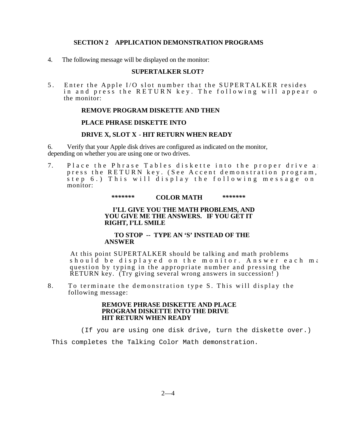### **SECTION 2 APPLICATION DEMONSTRATION PROGRAMS**

4. The following message will be displayed on the monitor:

### **SUPERTALKER SLOT?**

5. Enter the Apple I/O slot number that the SUPERTALKER resides in and press the RETURN key. The following will appear o the monitor:

### **REMOVE PROGRAM DISKETTE AND THEN**

### **PLACE PHRASE DISKETTE INTO**

### **DRIVE X, SLOT X** - **HIT RETURN WHEN READY**

6. Verify that your Apple disk drives are configured as indicated on the monitor, depending on whether you are using one or two drives.

7. Place the Phrase Tables diskette into the proper drive and press the RETURN key. (See Accent demonstration program,  $\frac{1}{1}$  step 6.) This will display the following message on monitor:

### *\*\*\*\*\*\*\** **COLOR MATH** *\*\*\*\*\*\*\**

### **I'LL GIVE YOU THE MATH PROBLEMS, AND YOU GIVE ME THE ANSWERS. IF YOU GET IT RIGHT, I'LL SMILE**

### **TO STOP -- TYPE AN 'S' INSTEAD OF THE ANSWER**

At this point SUPERTALKER should be talking and math problems should be displayed on the monitor. Answer each ma question by typing in the appropriate number and pressing the RETURN key. (Try giving several wrong answers in succession! )

8. To terminate the demonstration type S. This will display the following message:

### **REMOVE PHRASE DISKETTE AND PLACE PROGRAM DISKETTE INTO THE DRIVE HIT RETURN WHEN READY**

(If you are using one disk drive, turn the diskette over.)

This completes the Talking Color Math demonstration.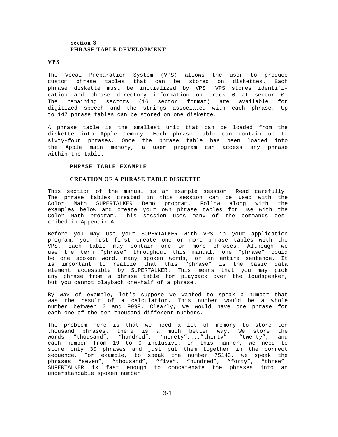### **Section 3 PHRASE TABLE DEVELOPMENT**

#### **VPS**

The Vocal Preparation System (VPS) allows the user to produce custom phrase tables that can be stored on diskettes. Each phrase diskette must be initialized by VPS. VPS stores identification and phrase directory information on track 0 at sector 0. The remaining sectors (16 sector format) are available for digitized speech and the strings associated with each phrase. Up to 147 phrase tables can be stored on one diskette.

A phrase table is the smallest unit that can be loaded from the diskette into Apple memory. Each phrase table can contain up to sixty-four phrases. Once the phrase table has been loaded into the Apple main memory, a user program can access any phrase within the table.

#### **PHRASE TABLE EXAMPLE**

#### **CREATION OF A PHRASE TABLE DISKETTE**

<span id="page-13-0"></span>This section of the manual is an example session. Read carefully. The phrase tables created in this session can be used with the Color Math SUPERTALKER Demo program. Follow along with the examples below and create your own phrase tables for use with the Color Math program. This session uses many of the commands described in Appendix A.

Before you may use your SUPERTALKER with VPS in your application program, you must first create one or more phrase tables with the VPS. Each table may contain one or more phrases. Although we use the term "phrase" throughout this manual, one "phrase" could be one spoken word, many spoken words, or an entire sentence. It is important to realize that this "phrase" is the basic data element accessible by SUPERTALKER. This means that you may pick any phrase from a phrase table for playback over the loudspeaker, but you cannot playback one-half of a phrase.

By way of example, let's suppose we wanted to speak a number that was the result of a calculation. This number would be a whole number between 0 and 9999. Clearly, we would have one phrase for each one of the ten thousand different numbers.

The problem here is that we need a lot of memory to store ten thousand phrases. there is a much better way. We store the words "thousand", "hundred", "ninety",..."thirty", "twenty", and each number from 19 to 0 inclusive. In this manner, we need to store only 30 phrases and just put them together in the correct sequence. For example, to speak the number 75143, we speak the phrases "seven", "thousand", "five", "hundred", "forty", "three". SUPERTALKER is fast enough to concatenate the phrases into an understandable spoken number.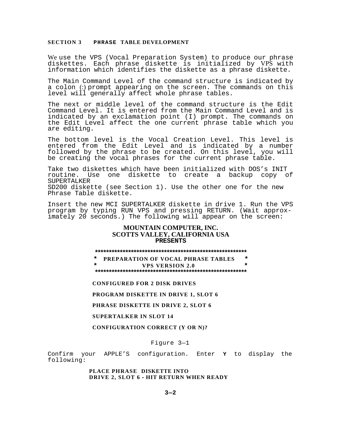We use the VPS (Vocal Preparation System) to produce our phrase diskettes. Each phrase diskette is initialized by VPS with information which identifies the diskette as a phrase diskette.

The Main Command Level of the command structure is indicated by a colon (:) prompt appearing on the screen. The commands on this level will generally affect whole phrase tables.

The next or middle level of the command structure is the Edit Command Level. It is entered from the Main Command Level and is indicated by an exclamation point (I) prompt. The commands on the Edit Level affect the one current phrase table which you are editing.

The bottom level is the Vocal Creation Level. This level is entered from the Edit Level and is indicated by a number followed by the phrase to be created. On this level, you will be creating the vocal phrases for the current phrase table.

Take two diskettes which have been initialized with DOS's INIT<br>routine. Use one diskette to create a backup copy of routine. Use one diskette to create a backup SUPERTALKER SD200 diskette (see Section 1). Use the other one for the new Phrase Table diskette.

Insert the new MCI SUPERTALKER diskette in drive 1. Run the VPS program by typing RUN VPS and pressing RETURN. (Wait approximately 20 seconds.) The following will appear on the screen:

### **MOUNTAIN COMPUTER, INC. SCOTTS VALLEY, CALIFORNIA USA PRESENTS**

**\*\*\*\*\*\*\*\*\*\*\*\*\*\*\*\*\*\*\*\*\*\*\*\*\*\*\*\*\*\*\*\*\*\*\*\*\*\*\*\*\*\*\*\*\*\*\*\*\*\*\*\*\*\*\***

**\* PREPARATION OF VOCAL PHRASE TABLES \* \* VPS VERSION 2.0 \* \*\*\*\*\*\*\*\*\*\*\*\*\*\*\*\*\*\*\*\*\*\*\*\*\*\*\*\*\*\*\*\*\*\*\*\*\*\*\*\*\*\*\*\*\*\*\*\*\*\*\*\*\*\*\***

**CONFIGURED FOR 2 DISK DRIVES**

**PROGRAM DISKETTE IN DRIVE 1, SLOT 6**

**PHRASE DISKETTE IN DRIVE 2, SLOT 6**

**SUPERTALKER IN SLOT 14**

**CONFIGURATION CORRECT (Y OR N)?**

Figure 3—1

Confirm your APPLE'S configuration. Enter **Y** to display the following:

> **PLACE PHRASE DISKETTE INTO DRIVE 2, SLOT 6 - HIT RETURN WHEN READY**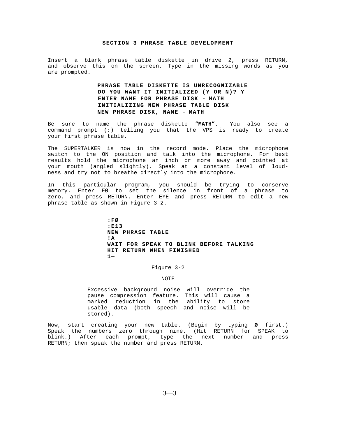Insert a blank phrase table diskette in drive 2, press RETURN, and observe this on the screen. Type in the missing words as you are prompted.

### **PHRASE TABLE DISKETTE IS UNRECOGNIZABLE DO YOU WANT IT INITIALIZED (Y OR N)? Y ENTER NAME FOR PHRASE DISK** - **MATH INITIALIZING NEW PHRASE TABLE DISK NEW PHRASE DISK, NAME** - **MATH**

Be sure to name the phrase diskette **"MATH".** You also see a command prompt (:) telling you that the VPS is ready to create your first phrase table.

The SUPERTALKER is now in the record mode. Place the microphone switch to the ON position and talk into the microphone. For best results hold the microphone an inch or more away and pointed at your mouth (angled slightly). Speak at a constant level of loudness and try not to breathe directly into the microphone.

In this particular program, you should be trying to conserve memory. Enter FØ to set the silence in front of a phrase to zero, and press RETURN. Enter EYE and press RETURN to edit a new phrase table as shown in Figure 3—2.

> **:FØ :E13 NEW PHRASE TABLE !A WAIT FOR SPEAK TO BLINK BEFORE TALKING HIT RETURN WHEN FINISHED 1—**

> > Figure 3-2

#### NOTE

Excessive background noise will override the pause compression feature. This will cause a marked reduction in the ability to store usable data (both speech and noise will be stored).

Now, start creating your new table. (Begin by typing **Ø** first.) Speak the numbers zero through nine. (Hit RETURN for SPEAK to blink.) After each prompt, type the next number and press RETURN; then speak the number and press RETURN.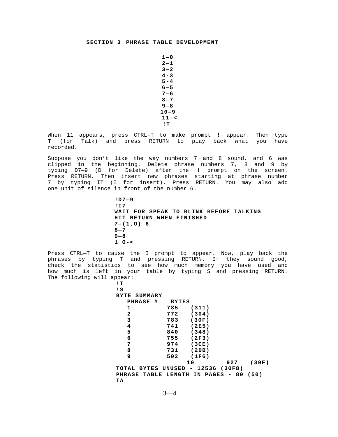**1—0 2—1 3—2 4-3 5-4 6—5 7—6 8—7 9—8 10—9 11—< !T**

When 11 appears, press CTRL-T to make prompt **!** appear. Then type **T** (for Talk) and press RETURN to play back what you have recorded.

Suppose you don't like the way numbers 7 and 8 sound, and 6 was clipped in the beginning. Delete phrase numbers 7, 8 and 9 by typing D7—9 (D for Delete) after the **!** prompt on the screen. Press RETURN. Then insert new phrases starting at phrase number 7 by typing IT (I for insert). Press RETURN. You may also add one unit of silence in front of the number 6.

> **!D7—9 !I7 WAIT FOR SPEAK TO BLINK BEFORE TALKING HIT RETURN WHEN FINISHED 7—(1,O) 6 8—7 9—8 1 O-<**

Press CTRL—T to cause the I prompt to appear. Now, play back the phrases by typing T and pressing RETURN. If they sound good, check the statistics to see how much memory you have used and how much is left in your table by typing S and pressing RETURN. The following will appear:

| lТ                      |        |                                          |       |
|-------------------------|--------|------------------------------------------|-------|
| ! S                     |        |                                          |       |
| SUMMARY<br>BYTE         |        |                                          |       |
| #<br>PHRASE             | BYTES  |                                          |       |
| 1                       | 785    | (311)                                    |       |
| $\mathbf{2}$            | 772    | (304)                                    |       |
| 3                       | 783    | (30F)                                    |       |
| $\overline{\mathbf{4}}$ | 741    | (2E5)                                    |       |
| 5                       | 840    | (348)                                    |       |
| 6                       | 755    | (2F3)                                    |       |
| 7                       | 974    | (3CE)                                    |       |
| 8                       | 731    | (2DB)                                    |       |
| 9                       | 502    | (1F6)                                    |       |
|                         |        | 10<br>927                                | (39F) |
| TOTAL BYTES             | UNUSED | 12536 (30F8)<br>$\overline{\phantom{a}}$ |       |
| <b>PHRASE TABLE</b>     | LENGTH | <b>PAGES</b><br>IN<br>80<br>-            | (50)  |
| ΙA                      |        |                                          |       |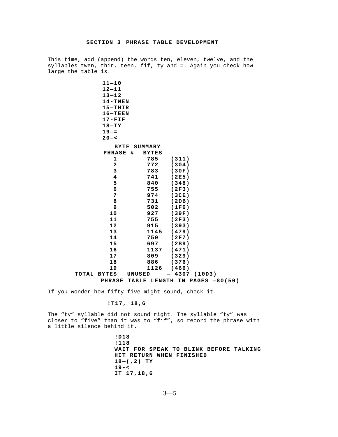This time, add (append) the words ten, eleven, twelve, and the syllables twen, thir, teen, fif, ty and =. Again you check how large the table is.

|       | $11 - 10$<br>$12 - 11$<br>$13 - 12$<br>$14 - TWEN$<br>$15-THIR$<br>$16 - TEEN$<br>$17 - FIF$<br>$18 - TY$<br>$19 - =$<br>$20 - 5$ |         |              |       |        |                    |  |
|-------|-----------------------------------------------------------------------------------------------------------------------------------|---------|--------------|-------|--------|--------------------|--|
|       | BYTE                                                                                                                              | SUMMARY |              |       |        |                    |  |
|       | <b>PHRASE</b>                                                                                                                     | #       | <b>BYTES</b> |       |        |                    |  |
|       | 1                                                                                                                                 |         | 785          | (311) |        |                    |  |
|       | $\overline{a}$                                                                                                                    |         | 772          | (304) |        |                    |  |
|       | 3                                                                                                                                 |         | 783          | (30F) |        |                    |  |
|       | 4                                                                                                                                 |         | 741          | (2E5) |        |                    |  |
|       | 5                                                                                                                                 |         | 840          | (348) |        |                    |  |
|       | 6                                                                                                                                 |         | 755          | (2F3) |        |                    |  |
|       | 7                                                                                                                                 |         | 974          | (3CE) |        |                    |  |
|       | 8                                                                                                                                 |         | 731          | (2DB) |        |                    |  |
|       | 9                                                                                                                                 |         | 502          | (1F6) |        |                    |  |
|       | 10                                                                                                                                |         | 927          | (39F) |        |                    |  |
|       | 11                                                                                                                                |         | 755          | (2F3) |        |                    |  |
|       | 12                                                                                                                                |         | 915          | (393) |        |                    |  |
|       | 13                                                                                                                                |         | 1145         | (479) |        |                    |  |
|       | 14                                                                                                                                |         | 759          | (2F7) |        |                    |  |
|       | 15                                                                                                                                |         | 697          | (2B9) |        |                    |  |
|       | 16                                                                                                                                |         | 1137         | (471) |        |                    |  |
|       | 17                                                                                                                                |         | 809          | (329) |        |                    |  |
|       | 18                                                                                                                                |         | 886          | (376) |        |                    |  |
|       | 19                                                                                                                                |         | 1126         | (466) |        |                    |  |
| TOTAL | <b>BYTES</b>                                                                                                                      | UNUSED  |              | 4307  | (10D3) |                    |  |
|       | <b>PHRASE</b>                                                                                                                     | TABLE   | LENGTH       |       |        | IN PAGES $-80(50)$ |  |

If you wonder how fifty-five might sound, check it.

### **!T17, 18,6**

The "ty" syllable did not sound right. The syllable "ty" was closer to "five" than it was to "fif", so record the phrase with a little silence behind it.

> **!D18 !118 WAIT FOR SPEAK TO BLINK BEFORE TALKING HIT RETURN WHEN FINISHED 18—(,2) TY 19-< IT 17,18,6**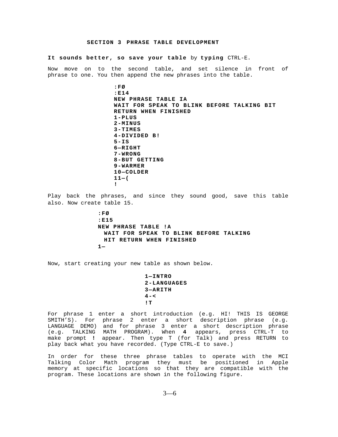**It sounds better, so save your table** by **typing** CTRL-E.

Now move on to the second table, and set silence in front of phrase to one. You then append the new phrases into the table.

> **:FØ :E14 NEW PHRASE TABLE IA WAIT FOR SPEAK TO BLINK BEFORE TALKING BIT RETURN WHEN FINISHED 1-PLUS 2-MINUS 3-TIMES 4-DIVIDED B! 5-IS 6—RIGHT 7-WRONG 8-BUT GETTING 9-WARMER 10—COLDER 11—( !**

Play back the phrases, and since they sound good, save this table also. Now create table 15.

> **:FØ :E15 NEW PHRASE TABLE !A WAIT FOR SPEAK TO BLINK BEFORE TALKING HIT RETURN WHEN FINISHED 1—**

Now, start creating your new table as shown below.

**1—INTRO 2-LANGUAGES 3—ARITH 4-< !T**

For phrase 1 enter a short introduction (e.g. HI! THIS IS GEORGE SMITH'S). For phrase 2 enter a short description phrase (e.g. LANGUAGE DEMO) and for phrase 3 enter a short description phrase (e.g. TALKING MATH PROGRAM). When **4** appears, press CTRL-T to make prompt **!** appear. Then type T (for Talk) and press RETURN to play back what you have recorded. (Type CTRL-E to save.)

In order for these three phrase tables to operate with the MCI Talking Color Math program they must be positioned in Apple memory at specific locations so that they are compatible with the program. These locations are shown in the following figure.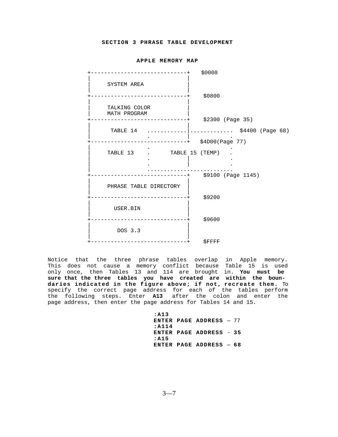#### **APPLE MEMORY MAP**

+-----------------------------+\$0000 | | SYSTEM AREA | | +-----------------------------+ \$0800 | | TALKING COLOR | MATH PROGRAM | +-----------------------------+ \$2300 (Page 35) | | TABLE 14 ............|.................... \$4400 (Page 68) | . | . +-----------------------------+ \$4D00(Page 77)  $\mathcal{L} = \{ \mathcal{L} \mid \mathcal{L} \in \mathcal{L} \mid \mathcal{L} \in \mathcal{L} \}$  . The contract of  $\mathcal{L} = \{ \mathcal{L} \mid \mathcal{L} \in \mathcal{L} \}$  | TABLE 13 . TABLE 15 (TEMP) .  $\|$  . In the contract of the contract of  $\|$  . In the contract of the contract of the contract of the contract of the contract of the contract of the contract of the contract of the contract of the contract of the contr | . | . | .......................... +-----------------------------+ \$9100 (Page 1145) | | PHRASE TABLE DIRECTORY | | +-----------------------------+ \$9200 | | | USER.BIN | | | +-----------------------------+ \$9600 | | | DOS 3.3 | | | +-----------------------------+ \$FFFF

Notice that the three phrase tables overlap in Apple memory. This does not cause a memory conflict because Table 15 is used only once, then Tables 13 and 114 are brought in. **You must be sure that the three tables you have created are within the boundaries indicated in the figure above; if not, recreate them.** To specify the correct page address for each of the tables perform the following steps. Enter **A13** after the colon and enter the page address, then enter the page address for Tables 14 and 15.

> **:A13 ENTER PAGE ADDRESS** — 77 **:A114 ENTER PAGE ADDRESS** - **35 :A15 ENTER PAGE ADDRESS** — **68**

> > $3 - 7$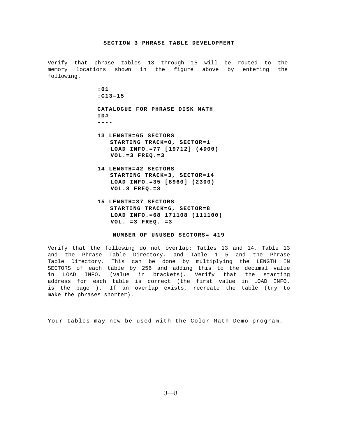Verify that phrase tables 13 through 15 will be routed to the memory locations shown in the figure above by entering the following.

> **:01 :C13—15 CATALOGUE FOR PHRASE DISK MATH ID# ----**

- **13 LENGTH=65 SECTORS STARTING TRACK=O, SECTOR=1 LOAD INFO.=77 [19712] (4D00) VOL.=3 FREQ.=3**
- **14 LENGTH=42 SECTORS STARTING TRACK=3, SECTOR=14 LOAD INFO.=35 [8960] (2300) VOL.3 FREQ.=3**
- **15 LENGTH=37 SECTORS STARTING TRACK=6, SECTOR=8 LOAD INFO.=68 171108 (111100) VOL. =3 FREQ. =3**

**NUMBER OF UNUSED SECTORS= 419**

Verify that the following do not overlap: Tables 13 and 14, Table 13 and the Phrase Table Directory, and Table 1 5 and the Phrase Table Directory. This can be done by multiplying the LENGTH IN SECTORS of each table by 256 and adding this to the decimal value in LOAD INFO. (value in brackets). Verify that the starting address for each table is correct (the first value in LOAD INFO. is the page ). If an overlap exists, recreate the table (try to make the phrases shorter).

Your tables may now be used with the Color Math Demo program.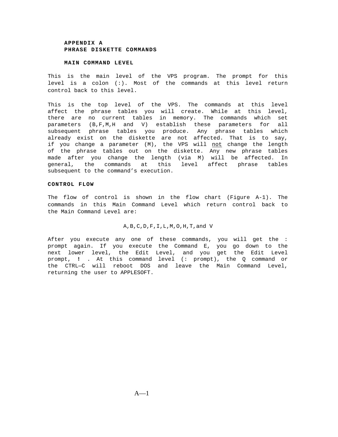#### **MAIN COMMAND LEVEL**

This is the main level of the VPS program. The prompt for this level is a colon (:). Most of the commands at this level return control back to this level.

This is the top level of the VPS. The commands at this level affect the phrase tables you will create. While at this level, there are no current tables in memory. The commands which set parameters (B,F,M,H and V) establish these parameters for all subsequent phrase tables you produce. Any phrase tables which already exist on the diskette are not affected. That is to say, if you change a parameter (M), the VPS will not change the length of the phrase tables out on the diskette. Any new phrase tables made after you change the length (via M) will be affected. In general, the commands at this level affect phrase tables subsequent to the command's execution.

#### **CONTROL FLOW**

<span id="page-21-0"></span>The flow of control is shown in the flow chart (Figure A-1). The commands in this Main Command Level which return control back to the Main Command Level are:

#### A,B,C,D,F,I,L,M,O,H,T,and V

After you execute any one of these commands, you will get the : prompt again. If you execute the Command E, you go down to the next lower level, the Edit Level, and you get the Edit Level prompt, **!** . At this command level (: prompt), the Q command or the CTRL—C will reboot DOS and leave the Main Command Level, returning the user to APPLESOFT.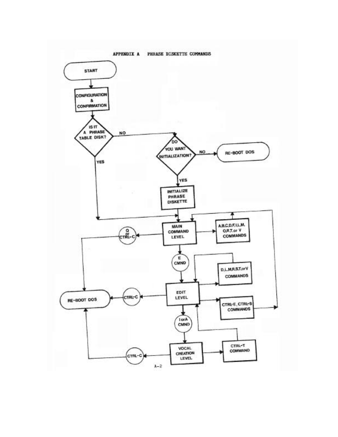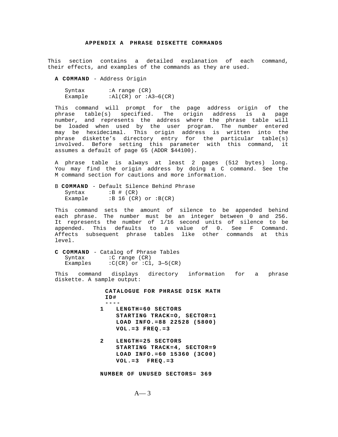This section contains a detailed explanation of each command, their effects, and examples of the commands as they are used.

**A COMMAND** - Address Origin

Syntax : A range (CR) Example  $:AL(CR)$  or  $:A3-6(CR)$ 

This command will prompt for the page address origin of the phrase table(s) specified. The origin address is a page number, and represents the address where the phrase table will be loaded when used by the user program. The number entered may be hexidecimal. This origin address is written into the phrase diskette's directory entry for the particular table(s) involved. Before setting this parameter with this command, it assumes a default of page 65 (ADDR \$44100).

A phrase table is always at least 2 pages (512 bytes) long. You may find the origin address by doing a C command. See the M command section for cautions and more information.

B **COMMAND** - Default Silence Behind Phrase Syntax :B # (CR) Example  $:B 16 (CR)$  or  $:B(CR)$ 

This command sets the amount of silence to be appended behind each phrase. The number must be an integer between 0 and 256. It represents the number of 1/16 second units of silence to be appended. This defaults to a value of 0. See F Command. Affects subsequent phrase tables like other commands at this level.

**C COMMAND** - Catalog of Phrase Tables Syntax : C range (CR) Examples  $:C(CR)$  or  $:C1$ ,  $3-5(CR)$ 

This command displays directory information for a phrase diskette. A sample output:

> **CATALOGUE FOR PHRASE DISK MATH ID# ----**

- **1 LENGTH=60 SECTORS STARTING TRACK=O, SECTOR=1 LOAD INFO.=88 22528 (5800) VOL.=3 FREQ.=3**
- **2 LENGTH=25 SECTORS STARTING TRACK=4, SECTOR=9 LOAD INFO.=60 15360 (3C00) VOL.=3 FREQ.=3**

**NUMBER OF UNUSED SECTORS= 369**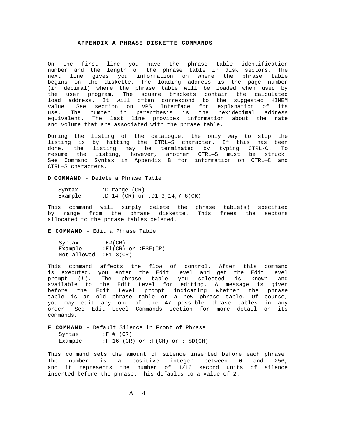On the first line you have the phrase table identification number and the length of the phrase table in disk sectors. The next line gives you information on where the phrase table begins on the diskette. The loading address is the page number (in decimal) where the phrase table will be loaded when used by the user program. The square brackets contain the calculated load address. It will often correspond to the suggested HIMEM value. See section on VPS Interface for explanation of its use. The number in parenthesis is the hexidecimal address equivalent. The last line provides information about the rate and volume that are associated with the phrase table.

During the listing of the catalogue, the only way to stop the listing is by hitting the CTRL—S character. If this has been done, the listing may be terminated by typing CTRL-C. To resume the listing, however, another CTRL—S must be struck. See Command Syntax in Appendix B for information on CTRL—C and CTRL—S characters.

D **COMMAND** - Delete a Phrase Table

| Syntax  |  | :D range $(CR)$ |                                |
|---------|--|-----------------|--------------------------------|
| Example |  |                 | :D 14 (CR) or :D1-3,14,7-6(CR) |

<span id="page-24-0"></span>This command will simply delete the phrase table(s) specified by range from the phrase diskette. This frees the sectors allocated to the phrase tables deleted.

**E COMMAND** - Edit a Phrase Table

Syntax :E#(CR) Example : El(CR) or : E\$F(CR) Not allowed :E1—3(CR)

This command affects the flow of control. After this command is executed, you enter the Edit Level and get the Edit Level prompt (**!**). The phrase table you selected is known and available to the Edit Level for editing. A message is given before the Edit Level prompt indicating whether the phrase table is an old phrase table or a new phrase table. Of course, you may edit any one of the 47 possible phrase tables in any order. See Edit Level Commands section for more detail on its commands.

**F COMMAND** - Default Silence in Front of Phrase Syntax : F # (CR)<br>Example : F 16 (CR  $:F 16 (CR) or 'F(CH) or 'F$D(CH)$ 

This command sets the amount of silence inserted before each phrase. The number is a positive integer between 0 and 256, and it represents the number of 1/16 second units of silence inserted before the phrase. This defaults to a value of 2.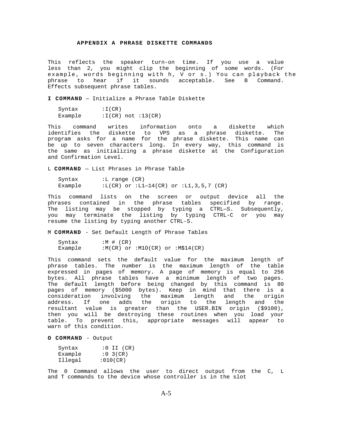This reflects the speaker turn-on time. If you use a value less than 2, you might clip the beginning of some words. (For example, words beginning with h, V or s.) You can playback the phrase to hear if it sounds acceptable. See B Command. Effects subsequent phrase tables.

**I COMMAND** — Initialize a Phrase Table Diskette

Syntax : I(CR) Example :I(CR) not :13(CR)

This command writes information onto a diskette which identifies the diskette to VPS as a phrase diskette. The program asks for a name for the phrase diskette. This name can be up to seven characters long. In every way, this command is the same as initializing a phrase diskette at the Configuration and Confirmation Level.

L **COMMAND** — List Phrases in Phrase Table

| Syntax  | :L range $(CR)$                        |  |
|---------|----------------------------------------|--|
| Example | :L(CR) or :L1-14(CR) or :L1,3,5,7 (CR) |  |

<span id="page-25-0"></span>This command lists on the screen or output device all the phrases contained in the phrase tables specified by range. The listing may be stopped by typing a CTRL—S. Subsequently, you may terminate the listing by typing CTRL-C or you may resume the listing by typing another CTRL-S.

M **COMMAND** - Set Default Length of Phrase Tables

| Syntax  | $:M$ # (CR) |  |                                       |
|---------|-------------|--|---------------------------------------|
| Example |             |  | $:M(CR)$ or $:MLO(CR)$ or $:M$14(CR)$ |

This command sets the default value for the maximum length of phrase tables. The number is the maximum length of the table expressed in pages of memory. A page of memory is equal to 256 bytes. All phrase tables have a minimum length of two pages. The default length before being changed by this command is 80 pages of memory (\$5000 bytes). Keep in mind that there is a consideration involving the maximum length and the origin address. If one adds the origin to the length and the resultant value is greater than the USER.BIN origin (\$9100), then you will be destroying these routines when you load your table. To prevent this, appropriate messages will appear to warn of this condition.

**O COMMAND** - Output

| Syntax  | $:0$ II $(CR)$ |
|---------|----------------|
| Example | $:0$ 3(CR)     |
| Illegal | :010(CR)       |

The 0 Command allows the user to direct output from the C, L and T commands to the device whose controller is in the slot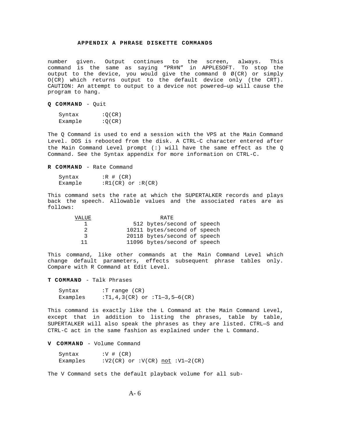number given. Output continues to the screen, always. This command is the same as saying "PR#N" in APPLESOFT. To stop the output to the device, you would give the command  $0 \varnothing$  (CR) or simply O(CR) which returns output to the default device only (the CRT). CAUTION: An attempt to output to a device not powered—up will cause the program to hang.

#### **Q COMMAND** - Quit

| Syntax  | :Q(CR) |
|---------|--------|
| Example | :Q(CR) |

The Q Command is used to end a session with the VPS at the Main Command Level. DOS is rebooted from the disk. A CTRL-C character entered after the Main Command Level prompt (:) will have the same effect as the Q Command. See the Syntax appendix for more information on CTRL-C.

#### **R COMMAND** - Rate Command

| Syntax  | $:R$ # (CR)           |  |
|---------|-----------------------|--|
| Example | $:R1(CR)$ or $:R(CR)$ |  |

<span id="page-26-0"></span>This command sets the rate at which the SUPERTALKER records and plays back the speech. Allowable values and the associated rates are as follows:

| VALUE | RATE.                        |  |
|-------|------------------------------|--|
|       | 512 bytes/second of speech   |  |
| 2     | 10211 bytes/second of speech |  |
| ર     | 20118 bytes/second of speech |  |
| 11    | 11096 bytes/second of speech |  |

This command, like other commands at the Main Command Level which change default parameters, effects subsequent phrase tables only. Compare with R Command at Edit Level.

**T COMMAND** - Talk Phrases

Syntax :T range (CR) Examples :  $T1, 4, 3(CR)$  or  $:T1-3, 5-6(CR)$ 

This command is exactly like the L Command at the Main Command Level, except that in addition to listing the phrases, table by table, SUPERTALKER will also speak the phrases as they are listed. CTRL—S and CTRL-C act in the same fashion as explained under the L Command.

#### **V COMMAND** - Volume Command

Syntax  $:V$   $#$   $(CR)$ Examples  $:V2(CR)$  or  $:V(CR)$  not  $:V1-2(CR)$ 

The V Command sets the default playback volume for all sub-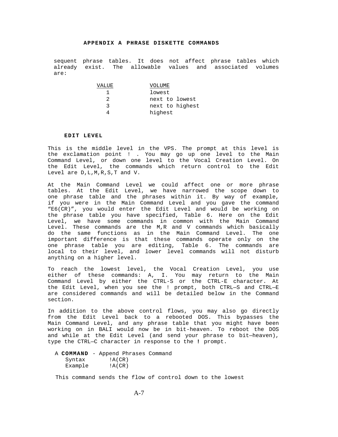sequent phrase tables. It does not affect phrase tables which already exist. The allowable values and associated volumes are:

| VALUE | VOLUME          |
|-------|-----------------|
|       | lowest          |
| 2     | next to lowest  |
| ્ર    | next to highest |
|       | highest         |

#### **EDIT LEVEL**

This is the middle level in the VPS. The prompt at this level is the exclamation point ! . You may go up one level to the Main Command Level, or down one level to the Vocal Creation Level. On the Edit Level, the commands which return control to the Edit Level are D,L,M,R,S,T and V.

<span id="page-27-0"></span>At the Main Command Level we could affect one or more phrase tables. At the Edit Level, we have narrowed the scope down to one phrase table and the phrases within it. By way of example, if you were in the Main Command Level and you gave the command "E6(CR)", you would enter the Edit Level and would be working on the phrase table you have specified, Table 6. Here on the Edit Level, we have some commands in common with the Main Command Level. These commands are the M,R and V commands which basically do the same functions as in the Main Command Level. The one important difference is that these commands operate only on the one phrase table you are editing, Table 6. The commands are local to their level, and lower level commands will not disturb anything on a higher level.

To reach the lowest level, the Vocal Creation Level, you use either of these commands: A, I. You may return to the Main Command Level by either the CTRL-S or the CTRL-E character. At the Edit Level, when you see the ! prompt, both CTRL—S and CTRL—E are considered commands and will be detailed below in the Command section.

In addition to the above control flows, you may also go directly from the Edit Level back to a rebooted DOS. This bypasses the Main Command Level, and any phrase table that you might have been working on in BALI would now be in bit-heaven. To reboot the DOS and while at the Edit Level (and send your phrase to bit—heaven), type the CTRL—C character in response to the **!** prompt.

| A COMMAND - Append Phrases Command |        |  |  |
|------------------------------------|--------|--|--|
| Syntax                             | IA(CR) |  |  |
| Example                            | !A(CR) |  |  |

This command sends the flow of control down to the lowest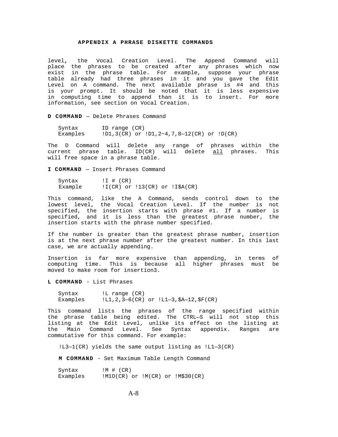<span id="page-28-0"></span>level**,** the Vocal Creation Level. The Append Command will place the phrases to be created after any phrases which now exist in the phrase table. For example, suppose your phrase table already had three phrases in it and you gave the Edit Level on A command. The next available phrase is #4 and this is your prompt. It should be noted that it is less expensive in computing time to append than it is to insert. For more information, see section on Vocal Creation.

**D COMMAND** — Delete Phrases Command

Syntax ID range (CR) Examples !D1,3(CR) or !D1,2~4,7,8—12(CR) or !D(CR)

The D Command will delete any range of phrases within the current phrase table. ID(CR) will delete all phrases. This will free space in a phrase table.

**I COMMAND** — Insert Phrases Command

Syntax  $\qquad \qquad \text{!I } \# (CR)$ Example :I(CR) or :13(CR) or :I\$A(CR)

This command, like the A Command, sends control down to the lowest level, the Vocal Creation Level. If the number is not specified, the insertion starts with phrase #1. If a number is specified, and it is less than the greatest phrase number, the insertion starts with the phrase number specified.

If the number is greater than the greatest phrase number, insertion is at the next phrase number after the greatest number. In this last case, we are actually appending.

Insertion is far more expensive than appending, in terms of computing time. This is because all higher phrases must be moved to make room for insertion3.

**L COMMAND** - List Phrases

Syntax : I range (CR) Examples !L1,2,3—6(CR) or !L1—3,\$A—12,\$F(CR)

This command lists the phrases of the range specified within the phrase table being edited. The CTRL—S will not stop this listing at the Edit Level, unlike its effect on the listing at the Main Command Level. See Syntax appendix. Ranges are commutative for this command. For example:

!L3—1(CR) yields the same output listing as !L1—3(CR)

**M COMMAND** - Set Maximum Table Length Command

Syntax  $\qquad \qquad \text{!} \ \mathsf{M} \ \# \ \text{(CR)}$ Examples :  $M10(CR)$  or  $1M(CR)$  or  $1M$30(CR)$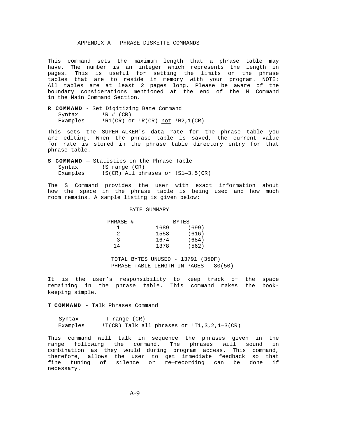<span id="page-29-0"></span>This command sets the maximum length that a phrase table may have. The number is an integer which represents the length in pages. This is useful for setting the limits on the phrase tables that are to reside in memory with your program. NOTE: All tables are at least 2 pages long. Please be aware of the boundary considerations mentioned at the end of the M Command in the Main Command Section.

**R COMMAND** - Set Digitizing Bate Command Syntax  $\qquad$   $\qquad$   $\qquad$   $\qquad$   $\qquad$   $\qquad$   $\qquad$   $\qquad$   $\qquad$   $\qquad$   $\qquad$   $\qquad$   $\qquad$   $\qquad$   $\qquad$   $\qquad$   $\qquad$   $\qquad$   $\qquad$   $\qquad$   $\qquad$   $\qquad$   $\qquad$   $\qquad$   $\qquad$   $\qquad$   $\qquad$   $\qquad$   $\qquad$   $\qquad$   $\qquad$   $\qquad$   $\qquad$   $\qquad$   $\qquad$   $\qquad$ Examples : R1(CR) or !R(CR) not !R2,1(CR)

This sets the SUPERTALKER's data rate for the phrase table you are editing. When the phrase table is saved, the current value for rate is stored in the phrase table directory entry for that phrase table.

**S COMMAND** — Statistics on the Phrase Table Syntax : IS range (CR) Examples !S(CR) All phrases or !S1—3.5(CR)

The S Command provides the user with exact information about how the space in the phrase table is being used and how much room remains. A sample listing is given below:

#### BYTE SUMMARY

| PHRASE # |      | <b>BYTES</b> |
|----------|------|--------------|
|          | 1689 | (699)        |
| 2        | 1558 | (616)        |
| २        | 1674 | (684)        |
| 14       | 1378 | (562)        |

TOTAL BYTES UNUSED - 13791 (35DF) PHRASE TABLE LENGTH IN PAGES — 80(50)

It is the user's responsibility to keep track of the space remaining in the phrase table. This command makes the bookkeeping simple.

**T COMMAND** - Talk Phrases Command

| Syntax   | !T range (CR) |  |  |                                               |
|----------|---------------|--|--|-----------------------------------------------|
| Examples |               |  |  | $T(CR)$ Talk all phrases or $TT1,3,2,1-3(CR)$ |

This command will talk in sequence the phrases given in the range following the command. The phrases will sound in combination as they would during program access. This command, therefore, allows the user to get immediate feedback so that fine tuning of silence or re—recording can be done if necessary.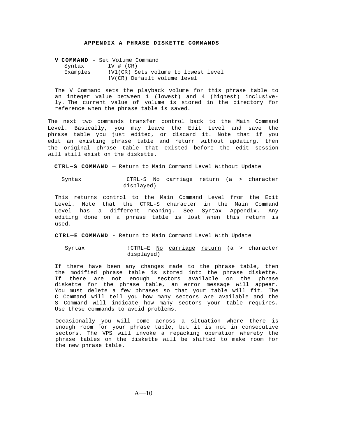**V COMMAND** - Set Volume Command Syntax IV # (CR) Examples : V1(CR) Sets volume to lowest level !V(CR) Default volume level

The V Command sets the playback volume for this phrase table to an integer value between 1 (lowest) and 4 (highest) inclusively. The current value of volume is stored in the directory for reference when the phrase table is saved.

The next two commands transfer control back to the Main Command Level. Basically, you may leave the Edit Level and save the phrase table you just edited, or discard it. Note that if you edit an existing phrase table and return without updating, then the original phrase table that existed before the edit session will still exist on the diskette.

**CTRL—S COMMAND** — Return to Main Command Level Without Update

Syntax  ${\tt lcrRL-S}$  No carriage return (a > character displayed)

<span id="page-30-0"></span>This returns control to the Main Command Level from the Edit Level. Note that the CTRL-S character in the Main Command Level has a different meaning. See Syntax Appendix. Any editing done on a phrase table is lost when this return is used.

**CTRL—E COMMAND** - Return to Main Command Level With Update

Syntax 1CTRL-E No carriage return (a > character displayed)

If there have been any changes made to the phrase table, then the modified phrase table is stored into the phrase diskette. If there are not enough sectors available on the phrase diskette for the phrase table, an error message will appear. You must delete a few phrases so that your table will fit. The C Command will tell you how many sectors are available and the S Command will indicate how many sectors your table requires. Use these commands to avoid problems.

Occasionally you will come across a situation where there is enough room for your phrase table, but it is not in consecutive sectors. The VPS will invoke a repacking operation whereby the phrase tables on the diskette will be shifted to make room for the new phrase table.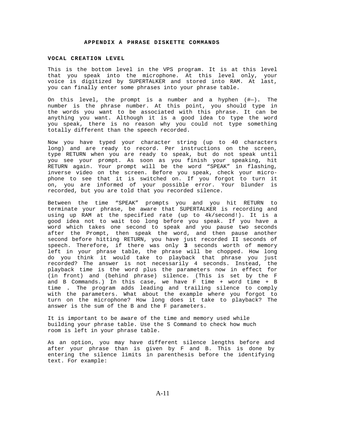#### **VOCAL CREATION LEVEL**

This is the bottom level in the VPS program. It is at this level that you speak into the microphone. At this level only, your voice is digitized by SUPERTALKER and stored into RAM. At last, you can finally enter some phrases into your phrase table.

On this level, the prompt is a number and a hyphen (#—)**.** The number is the phrase number. At this point, you should type in the words you want to be associated with this phrase. It can be anything you want. Although it is a good idea to type the word you speak, there is no reason why you could not type something totally different than the speech recorded.

Now you have typed your character string (up to 40 characters long) and are ready to record. Per instructions on the screen, type RETURN when you are ready to speak, but do not speak until you see your prompt. As soon as you finish your speaking, hit RETURN again. Your prompt will be the word "SPEAK" in flashing, inverse video on the screen. Before you speak, check your microphone to see that it is switched on. If you forgot to turn it on, you are informed of your possible error. Your blunder is recorded, but you are told that you recorded silence.

Between the time "SPEAK" prompts you and you hit RETURN to terminate your phrase, be aware that SUPERTALKER is recording and using up RAM at the specified rate (up to 4k/second!). It is a good idea not to wait too long before you speak. If you have a word which takes one second to speak and you pause two seconds after the Prompt, then speak the word, and then pause another second before hitting RETURN, you have just recorded II seconds of speech. Therefore, if there was only **3** seconds worth of memory left in your phrase table, the phrase will be chopped. How long do you think it would take to playback that phrase you just recorded? The answer is not necessarily 4 seconds. Instead, the playback time is the word plus the parameters now in effect for (in front) and (behind phrase) silence. (This is set by the F and B Commands.) In this case, we have F time + word time + B time **.** The program adds leading and trailing silence to comply with the parameters. What about the example where you forgot to turn on the microphone? How long does it take to playback? The answer is the sum of the B and the F parameters.

It is important to be aware of the time and memory used while building your phrase table. Use the S Command to check how much room is left in your phrase table.

As an option, you may have different silence lengths before and after your phrase than is given by F and B. This is done by entering the silence limits in parenthesis before the identifying text. For example: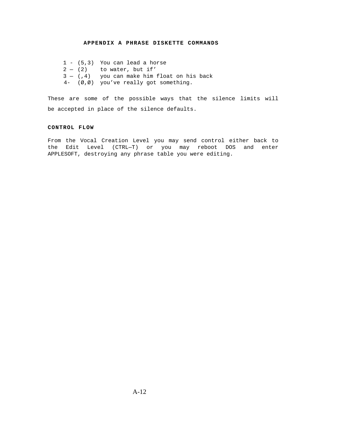1 - (5,3) You can lead a horse  $2 - (2)$  to water, but if'  $3 - (.4)$  you can make him float on his back 4- (Ø,Ø) you've really got something.

These are some of the possible ways that the silence limits will be accepted in place of the silence defaults.

### **CONTROL FLOW**

<span id="page-32-0"></span>From the Vocal Creation Level you may send control either back to the Edit Level (CTRL—T) or you may reboot DOS and enter APPLESOFT, destroying any phrase table you were editing.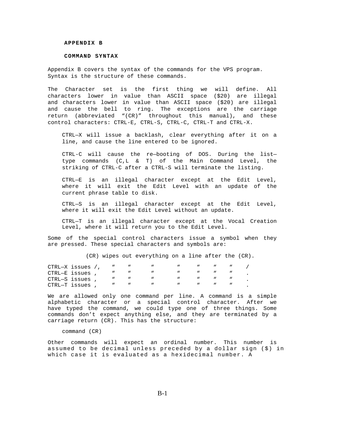#### **APPENDIX B**

#### **COMMAND SYNTAX**

Appendix B covers the syntax of the commands for the VPS program. Syntax is the structure of these commands.

The Character set is the first thing we will define. All characters lower in value than ASCII space (\$20) are illegal and characters lower in value than ASCII space (\$20) are illegal and cause the bell to ring. The exceptions are the carriage return (abbreviated "(CR)" throughout this manual), and these control characters: CTRL-E, CTRL-S, CTRL-C, CTRL-T and CTRL-X.

CTRL—X will issue a backlash, clear everything after it on a line, and cause the line entered to be ignored.

CTRL-C will cause the re—booting of DOS. During the list type commands (C,L & T) of the Main Command Level, the striking of CTRL-C after a CTRL-S will terminate the listing.

CTRL—E is an illegal character except at the Edit Level, where it will exit the Edit Level with an update of the current phrase table to disk.

<span id="page-33-0"></span>CTRL—S is an illegal character except at the Edit Level, where it will exit the Edit Level without an update.

CTRL—T is an illegal character except at the Vocal Creation Level, where it will return you to the Edit Level.

Some of the special control characters issue a symbol when they are pressed. These special characters and symbols are:

(CR) wipes out everything on a line after the (CR).

| $CTRL-X$ issues /, |  |  |  |  |  |
|--------------------|--|--|--|--|--|
| CTRL-E issues      |  |  |  |  |  |
| CTRL-S issues      |  |  |  |  |  |
| CTRL-T issues      |  |  |  |  |  |

We are allowed only one command per line. A command is a simple alphabetic character or a special control character. After we have typed the command, we could type one of three things. Some commands don't expect anything else, and they are terminated by a carriage return (CR). This has the structure:

command (CR)

Other commands will expect an ordinal number. This number is assumed to be decimal unless preceded by a dollar sign (\$) in which case it is evaluated as a hexidecimal number. A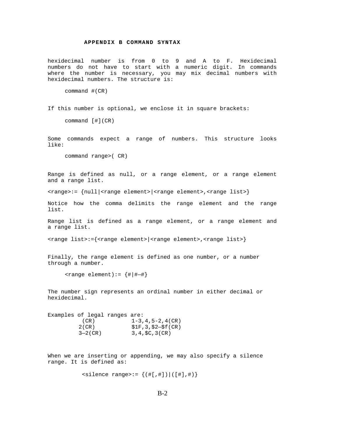### **APPENDIX B COMMAND SYNTAX**

hexidecimal number is from 0 to 9 and A to F. Hexidecimal numbers do not have to start with a numeric digit. In commands where the number is necessary, you may mix decimal numbers with hexidecimal numbers. The structure is:

command #(CR)

If this number is optional, we enclose it in square brackets:

command [#](CR)

Some commands expect a range of numbers. This structure looks like:

command range>( CR)

Range is defined as null, or a range element, or a range element and a range list.

<range>:= {null|<range element>|<range element>,<range list>}

Notice how the comma delimits the range element and the range list.

Range list is defined as a range element, or a range element and a range list.

<range list>:={<range element>|<range element>,<range list>}

Finally, the range element is defined as one number, or a number through a number.

 $\text{range element}$ ):=  $\{ \# | \# - \# \}$ 

The number sign represents an ordinal number in either decimal or hexidecimal.

| Examples of legal ranges are: |              |                                 |
|-------------------------------|--------------|---------------------------------|
|                               | (CR)         | $1-3.4.5-2.4$ (CR)              |
|                               | $2$ ( CR )   | $$1F, 3, $2-$f(CR)$             |
|                               | $3 - 2$ (CR) | $3, 4, \text{SC}, 3(\text{CR})$ |

When we are inserting or appending, we may also specify a silence range. It is defined as:

```
\{ \text{ } \{ \text{ (} \# \text{ } \text{ } \} \} \} \{ \{ \# \text{ } \text{ } \# \text{ } \} \}
```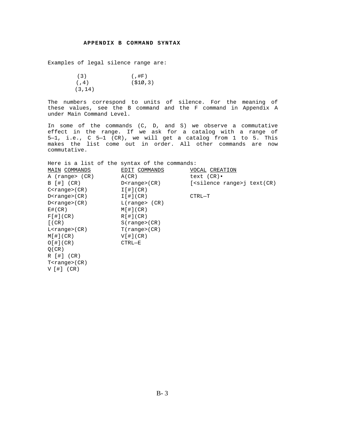### **APPENDIX B COMMAND SYNTAX**

Examples of legal silence range are:

| (3)     | (,#F)    |
|---------|----------|
| (7, 4)  | (510, 3) |
| (3, 14) |          |

The numbers correspond to units of silence. For the meaning of these values, see the B command and the F command in Appendix A under Main Command Level.

In some of the commands (C, D, and S) we observe a commutative effect in the range. If we ask for a catalog with a range of 5—1, i.e., C 5—1 (CR), we will get a catalog from 1 to 5. This makes the list come out in order. All other commands are now commutative.

| Here is a list of the syntax of the commands: |                       |                           |
|-----------------------------------------------|-----------------------|---------------------------|
| MAIN COMMANDS                                 | EDIT COMMANDS         | VOCAL CREATION            |
| A (range> (CR)                                | A(CR)                 | text $(CR)$ .             |
| B [#] (CR)                                    | D <range>(CR)</range> | (silence range>j text(CR) |
| C <range>(CR)</range>                         | $I$ [#](CR)           |                           |
| D <range>(CR)</range>                         | $I$ [#](CR)           | CTRL-T                    |
| $D$ < $r$ ange > $(CR)$                       | L(range(CR))          |                           |
| E#(CR)                                        | M[#](CR)              |                           |
| $F$ [#](CR)                                   | $R[$ # $(CR)$         |                           |
| $[$ (CR)                                      | $S$ (range>( $CR$ )   |                           |
| $L$ < $r$ ange > $(CR)$                       | T(range>(CR))         |                           |
| $M[$ $\#$ $]$ (CR)                            | $V[$ #](CR)           |                           |
| $O[$ $\#$ $C$ $R$ $)$                         | CTRL-E                |                           |
| O(CR)                                         |                       |                           |
| $R$ [#] (CR)                                  |                       |                           |
| $T$ < $r$ ange > $(CR)$                       |                       |                           |
| $V$ [#] $(CR)$                                |                       |                           |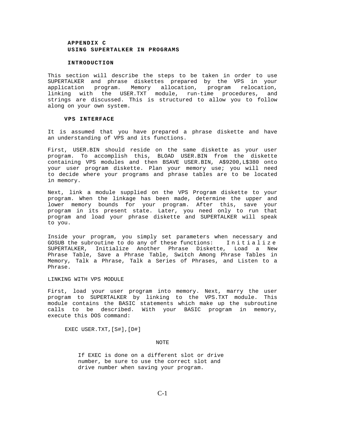#### **INTRODUCTION**

This section will describe the steps to be taken in order to use SUPERTALKER and phrase diskettes prepared by the VPS in your application program. Memory allocation, program relocation, linking with the USER.TXT module, run-time procedures, and strings are discussed. This is structured to allow you to follow along on your own system.

#### **VPS INTERFACE**

It is assumed that you have prepared a phrase diskette and have an understanding of VPS and its functions.

First, USER.BIN should reside on the same diskette as your user program. To accomplish this, BLOAD USER.BIN from the diskette containing VPS modules and then BSAVE USER.BIN, A\$9200,L\$380 onto your user program diskette. Plan your memory use; you will need to decide where your programs and phrase tables are to be located in memory.

<span id="page-36-0"></span>Next, link a module supplied on the VPS Program diskette to your program. When the linkage has been made, determine the upper and lower memory bounds for your program. After this, save your program in its present state. Later, you need only to run that program and load your phrase diskette and SUPERTALKER will speak to you.

Inside your program, you simply set parameters when necessary and GOSUB the subroutine to do any of these functions: Initialize SUPERTALKER, Initialize Another Phrase Diskette, Load a New Phrase Table, Save a Phrase Table, Switch Among Phrase Tables in Memory, Talk a Phrase, Talk a Series of Phrases, and Listen to a Phrase.

LINKING WITH VPS MODULE

First, load your user program into memory. Next, marry the user program to SUPERTALKER by linking to the VPS.TXT module. This module contains the BASIC statements which make up the subroutine calls to be described. With your BASIC program in memory, execute this DOS command:

EXEC USER.TXT,[S#],[D#]

#### NOTE

If EXEC is done on a different slot or drive number, be sure to use the correct slot and drive number when saving your program.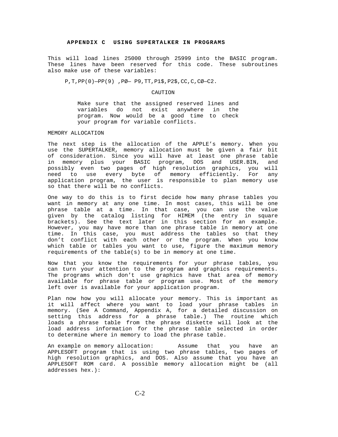This will load lines 25000 through 25999 into the BASIC program. These lines have been reserved for this code. These subroutines also make use of these variables:

P,T,PP(0)—PP(9) ,PØ— P9,TT,P1\$,P2\$,CC,C,CØ—C2.

#### CAUTION

Make sure that the assigned reserved lines and variables do not exist anywhere in the program. Now would be a good time to check your program for variable conflicts.

MEMORY ALLOCATION

The next step is the allocation of the APPLE's memory. When you use the SUPERTALKER, memory allocation must be given a fair bit of consideration. Since you will have at least one phrase table in memory plus your BASIC program, DOS and USER.BIN, and possibly even two pages of high resolution graphics, you will need to use every byte of memory efficiently. For any application program, the user is responsible to plan memory use so that there will be no conflicts.

<span id="page-37-0"></span>One way to do this is to first decide how many phrase tables you want in memory at any one time. In most cases, this will be one phrase table at a time. In that case, you can use the value given by the catalog listing for HIMEM (the entry in square brackets). See the text later in this section for an example. However, you may have more than one phrase table in memory at one time. In this case, you must address the tables so that they don't conflict with each other or the program. When you know which table or tables you want to use, figure the maximum memory requirements of the table(s) to be in memory at one time.

Now that you know the requirements for your phrase tables, you can turn your attention to the program and graphics requirements. The programs which don't use graphics have that area of memory available for phrase table or program use. Most of the memory left over is available for your application program.

Plan now how you will allocate your memory. This is important as it will affect where you want to load your phrase tables in memory. (See A Command, Appendix A, for a detailed discussion on setting this address for a phrase table.) The routine which loads a phrase table from the phrase diskette will look at the load address information for the phrase table selected in order to determine where in memory to load the phrase table.

An example on memory allocation: Assume that you have an APPLESOFT program that is using two phrase tables, two pages of high resolution graphics, and DOS. Also assume that you have an APPLESOFT ROM card. A possible memory allocation might be (all addresses hex.):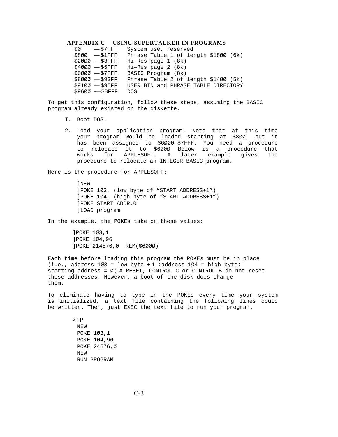| $$0 - $7FF$     | System use, reserved                  |
|-----------------|---------------------------------------|
| \$800 - \$1FFF  | Phrase Table 1 of length \$1800 (6k)  |
| \$2000 - \$3FFF | $Hi$ -Res page 1 (8k)                 |
| \$4000 - \$5FFF | $Hi$ -Res page 2 $(8k)$               |
| \$6000 - \$7FFF | BASIC Program (8k)                    |
| \$8000 - \$93FF | Phrase Table 2 of length $$1400$ (5k) |
| $$9100 - $95FF$ | USER.BIN and PHRASE TABLE DIRECTORY   |
| \$9600 - \$BFFF | <b>DOS</b>                            |

To get this configuration, follow these steps, assuming the BASIC program already existed on the diskette.

- I. Boot DOS.
- 2. Load your application program. Note that at this time your program would be loaded starting at \$8ØØ, but it has been assigned to \$6ØØØ—\$7FFF. You need a procedure to relocate it to \$6ØØØ Below is a procedure that works for APPLESOFT. A later example gives the procedure to relocate an INTEGER BASIC program.

Here is the procedure for APPLESOFT:

 ]NEW ]POKE 1Ø3, (low byte of "START ADDRESS+1") ]POKE 1Ø4, (high byte of "START ADDRESS+1") ]POKE START ADDR,0 ]LOAD program

In the example, the POKEs take on these values:

]POKE 1Ø3,1 ]POKE 1Ø4,96 ]POKE 214576,Ø :REM(\$6ØØØ)

Each time before loading this program the POKEs must be in place  $(i.e., address 1Ø3 = low byte + 1 : address 1Ø4 = high byte:$ starting address =  $\varnothing$ ). A RESET, CONTROL C or CONTROL B do not reset these addresses. However, a boot of the disk does change them.

To eliminate having to type in the POKEs every time your system is initialized, a text file containing the following lines could be written. Then, just EXEC the text file to run your program.

> >FP NEW POKE 1Ø3,1 POKE 1Ø4,96 POKE 24576,Ø NEW RUN PROGRAM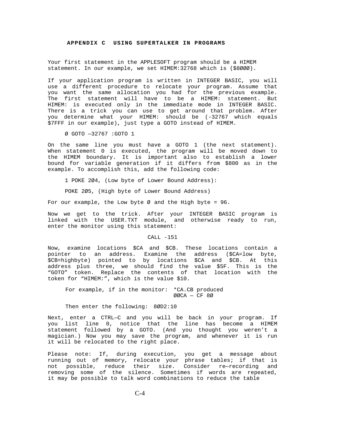Your first statement in the APPLESOFT program should be a HIMEM statement. In our example, we set HIMEM:32768 which is (\$8ØØØ).

If your application program is written in INTEGER BASIC, you will use a different procedure to relocate your program. Assume that you want the same allocation you had for the previous example. The first statement will have to be a HIMEM: statement. But HIMEM: is executed only in the immediate mode in INTEGER BASIC. There is a trick you can use to get around that problem. After you determine what your HIMEM: should be (-32767 which equals \$7FFF in our example), just type a GOTO instead of HIMEM.

Ø GOTO —32767 :GOTO 1

On the same line you must have a GOTO 1 (the next statement). When statement 0 is executed, the program will be moved down to the HIMEM boundary. It is important also to establish a lower bound for variable generation if it differs from \$800 as in the example. To accomplish this, add the following code:

1 POKE 2Ø4, (Low byte of Lower Bound Address):

POKE 2Ø5, (High byte of Lower Bound Address)

For our example, the Low byte  $\varnothing$  and the High byte = 96.

Now we get to the trick. After your INTEGER BASIC program is linked with the USER.TXT module, and otherwise ready to run, enter the monitor using this statement:

#### CALL -151

Now, examine locations \$CA and \$CB. These locations contain a pointer to an address. Examine the address (\$CA=low byte, \$CB=highbyte) pointed to by locations \$CA and \$CB. At this address plus three, we should find the value \$5F. This is the "GOTO" token. Replace the contents of that location with the token for "HIMEM:", which is the value \$10.

For example, if in the monitor: \*CA.CB produced ØØCA — CF 8Ø

Then enter the following: 8ØD2:10

Next, enter a CTRL—C and you will be back in your program. If you list line 0, notice that the line has become a HIMEM statement followed by a GOTO. (And you thought you weren't a magician.) Now you may save the program, and whenever it is run it will be relocated to the right place.

Please note: If, during execution, you get a message about running out of memory, relocate your phrase tables; if that is not possible, reduce their size. Consider re—recording and removing some of the silence. Sometimes if words are repeated, it may be possible to talk word combinations to reduce the table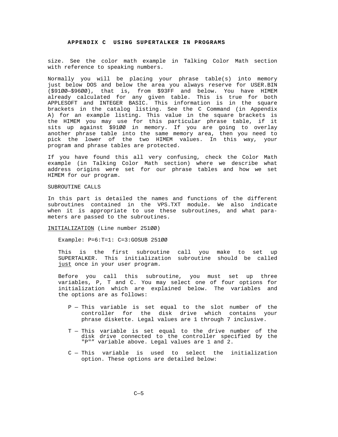<span id="page-40-0"></span>size. See the color math example in Talking Color Math section with reference to speaking numbers.

Normally you will be placing your phrase table(s) into memory just below DOS and below the area you always reserve for USER.BIN (\$91ØØ—\$96ØØ), that is, from \$93FF and below. You have HIMEM already calculated for any given table. This is true for both APPLESOFT and INTEGER BASIC. This information is in the square brackets in the catalog listing. See the C Command (in Appendix A) for an example listing. This value in the square brackets is the HIMEM you may use for this particular phrase table, if it sits up against \$91ØØ in memory. If you are going to overlay another phrase table into the same memory area, then you need to pick the lower of the two HIMEM values. In this way, your program and phrase tables are protected.

If you have found this all very confusing, check the Color Math example (in Talking Color Math section) where we describe what address origins were set for our phrase tables and how we set HIMEM for our program.

#### SUBROUTINE CALLS

In this part is detailed the names and functions of the different subroutines contained in the VPS.TXT module. We also indicate when it is appropriate to use these subroutines, and what parameters are passed to the subroutines.

INITIALIZATION (Line number 251ØØ)

Example: P=6:T=1: C=3:GOSUB 251ØØ

This is the first subroutine call you make to set up SUPERTALKER. This initialization subroutine should be called just once in your user program.

Before you call this subroutine, you must set up three variables, P, T and C. You may select one of four options for initialization which are explained below. The variables and the options are as follows:

- P This variable is set equal to the slot number of the controller for the disk drive which contains your phrase diskette. Legal values are 1 through 7 inclusive.
- T This variable is set equal to the drive number of the disk drive connected to the controller specified by the "P"" variable above. Legal values are 1 and 2.
- C This variable is used to select the initialization option. These options are detailed below: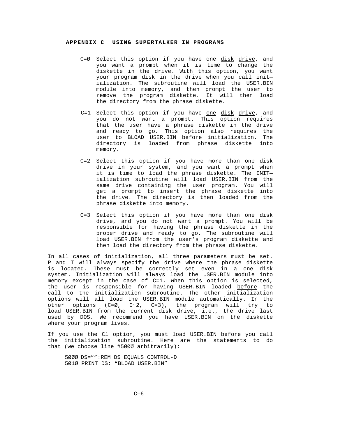- C=Ø Select this option if you have one disk drive, and you want a prompt when it is time to change the diskette in the drive. With this option, you want your program disk in the drive when you call init ialization. The subroutine will load the USER.BIN module into memory, and then prompt the user to remove the program diskette. It will then load the directory from the phrase diskette.
- C=1 Select this option if you have one disk drive, and you do not want a prompt. This option requires that the user have a phrase diskette in the drive and ready to go. This option also requires the user to BLOAD USER.BIN before initialization. The directory is loaded from phrase diskette into memory.
- C=2 Select this option if you have more than one disk drive in your system, and you want a prompt when it is time to load the phrase diskette. The INIT ialization subroutine will load USER.BIN from the same drive containing the user program. You will get a prompt to insert the phrase diskette into the drive. The directory is then loaded from the phrase diskette into memory.
- C=3 Select this option if you have more than one disk drive, and you do not want a prompt. You will be responsible for having the phrase diskette in the proper drive and ready to go. The subroutine will load USER.BIN from the user's program diskette and then load the directory from the phrase diskette.

In all cases of initialization, all three parameters must be set. P and T will always specify the drive where the phrase diskette is located. These must be correctly set even in a one disk system. Initialization will always load the USER.BIN module into memory except in the case of C=1. When this option is selected, the user is responsible for having USER.BIN loaded before the call to the initialization subroutine. The other initialization options will all load the USER.BIN module automatically. In the other options (C=Ø, C~2, C=3), the program will try to load USER.BIN from the current disk drive, i.e., the drive last used by DOS. We recommend you have USER.BIN on the diskette where your program lives.

If you use the C1 option, you must load USER.BIN before you call the initialization subroutine. Here are the statements to do that (we choose line #5ØØØ arbitrarily):

5ØØØ D\$="":REM D\$ EQUALS CONTROL-D 5Ø1Ø PRINT D\$: "BLOAD USER.BIN"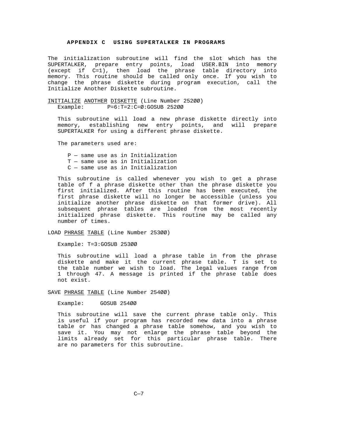The initialization subroutine will find the slot which has the SUPERTALKER, prepare entry points, load USER.BIN into memory (except if C=1), then load the phrase table directory into memory. This routine should be called only once. If you wish to change the phrase diskette during program execution, call the Initialize Another Diskette subroutine.

INITIALIZE ANOTHER DISKETTE (Line Number 252ØØ) Example: P=6:T=2:C=Ø:GOSUB 252ØØ

This subroutine will load a new phrase diskette directly into memory, establishing new entry points, and will prepare SUPERTALKER for using a different phrase diskette.

The parameters used are:

P — same use as in Initialization T — same use as in Initialization C — same use as in Initialization

This subroutine is called whenever you wish to get a phrase table of f a phrase diskette other than the phrase diskette you first initialized. After this routine has been executed, the first phrase diskette will no longer be accessible (unless you initialize another phrase diskette on that former drive). All subsequent phrase tables are loaded from the most recently initialized phrase diskette. This routine may be called any number of times.

LOAD PHRASE TABLE (Line Number 253ØØ)

Example: T=3:GOSUB 253ØØ

This subroutine will load a phrase table in from the phrase diskette and make it the current phrase table. T is set to the table number we wish to load. The legal values range from 1 through 47. A message is printed if the phrase table does not exist.

SAVE PHRASE TABLE (Line Number 254ØØ)

Example: GOSUB 254ØØ

This subroutine will save the current phrase table only. This is useful if your program has recorded new data into a phrase table or has changed a phrase table somehow, and you wish to save it. You may not enlarge the phrase table beyond the limits already set for this particular phrase table. There are no parameters for this subroutine.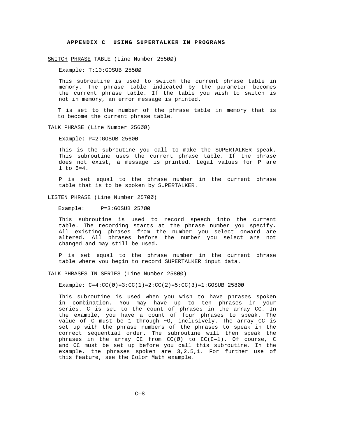SWITCH PHRASE TABLE (Line Number 255ØØ)

Example: T:10:GOSUB 255ØØ

This subroutine is used to switch the current phrase table in memory. The phrase table indicated by the parameter becomes the current phrase table. If the table you wish to switch is not in memory, an error message is printed.

T is set to the number of the phrase table in memory that is to become the current phrase table.

TALK PHRASE (Line Number 256ØØ)

Example: P=2:GOSUB 256ØØ

This is the subroutine you call to make the SUPERTALKER speak. This subroutine uses the current phrase table. If the phrase does not exist, a message is printed. Legal values for P are 1 to 6=4.

P is set equal to the phrase number in the current phrase table that is to be spoken by SUPERTALKER.

LISTEN PHRASE (Line Number 257ØØ)

Example: P=3:GOSUB 257ØØ

This subroutine is used to record speech into the current table. The recording starts at the phrase number you specify. All existing phrases from the number you select onward are altered. All phrases before the number you select are not changed and may still be used.

P is set equal to the phrase number in the current phrase table where you begin to record SUPERTALKER input data.

TALK PHRASES IN SERIES (Line Number 258ØØ)

Example:  $C=4:CC(\emptyset) = 3:CC(1) = 2:CC(2) = 5:CC(3) = 1:GOSUB 258ØØ$ 

This subroutine is used when you wish to have phrases spoken in combination. You may have up to ten phrases in your series. C is set to the count of phrases in the array CC. In the example, you have a count of four phrases to speak. The value of C must be 1 through ~O, inclusively. The array CC is set up with the phrase numbers of the phrases to speak in the correct sequential order. The subroutine will then speak the phrases in the array CC from  $CC(\emptyset)$  to  $CC(C-1)$ . Of course, C and CC must be set up before you call this subroutine. In the example, the phrases spoken are 3,2,5,1. For further use of this feature, see the Color Math example.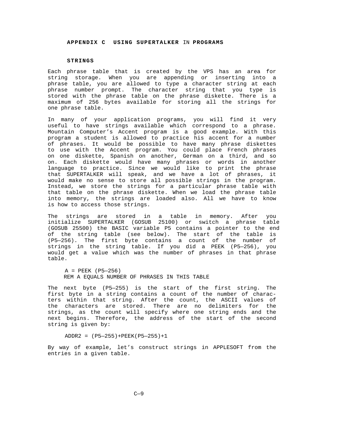#### **STRINGS**

Each phrase table that is created by the VPS has an area for string storage. When you are appending or inserting into a phrase table, you are allowed to type a character string at each phrase number prompt. The character string that you type is stored with the phrase table on the phrase diskette. There is a maximum of 256 bytes available for storing all the strings for one phrase table.

In many of your application programs, you will find it very useful to have strings available which correspond to a phrase. Mountain Computer's Accent program is a good example. With this program a student is allowed to practice his accent for a number of phrases. It would be possible to have many phrase diskettes to use with the Accent program. You could place French phrases on one diskette, Spanish on another, German on a third, and so on. Each diskette would have many phrases or words in another language to practice. Since we would like to print the phrase that SUPERTALKER will speak, and we have a lot of phrases, it would make no sense to store all possible strings in the program. Instead, we store the strings for a particular phrase table with that table on the phrase diskette. When we load the phrase table into memory, the strings are loaded also. All we have to know is how to access those strings.

<span id="page-44-0"></span>The strings are stored in a table in memory. After you initialize SUPERTALKER (GOSUB 25100) or switch a phrase table (GOSUB 25500) the BASIC variable P5 contains a pointer to the end of the string table (see below). The start of the table is (P5—256). The first byte contains a count of the number of strings in the string table. If you did a PEEK (P5—256), you would get a value which was the number of phrases in that phrase table.

A = PEEK (P5—256) REM A EQUALS NUMBER OF PHRASES IN THIS TABLE

The next byte (P5—255) is the start of the first string. The first byte in a string contains a count of the number of characters within that string. After the count, the ASCII values of the characters are stored. There are no delimiters for the strings, as the count will specify where one string ends and the next begins. Therefore, the address of the start of the second string is given by:

ADDR2 = (P5—255)+PEEK(P5—255)+1

By way of example, let's construct strings in APPLESOFT from the entries in a given table.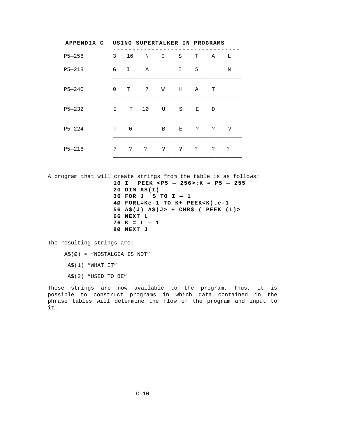| APPENDIX C | USING SUPERTALKER IN PROGRAMS |             |    |             |             |   |    |   |
|------------|-------------------------------|-------------|----|-------------|-------------|---|----|---|
| $P5 - 256$ | 3                             | 16          | N  | $\mathbf 0$ | S           | T | Α  | L |
| $P5 - 218$ | G                             | I           | Α  |             | I           | S |    | N |
| $P5 - 240$ | $\Omega$                      | т           | 7  | W           | н           | Α | т  |   |
| $P5 - 232$ | I                             | т           | 1Ø | U           | S           | Е | D  |   |
| $P5 - 224$ | T                             | $\mathbf 0$ |    | B           | Е           | ? | 2  | ? |
| $P5 - 216$ | ?                             | 2           | ?  | S.          | $\tilde{S}$ | 5 | S. | ? |

A program that will create strings from the table is as follows: **16 I PEEK <P5 — 256>:K = P5 — 255 20 DIM A\$(I) 36 FOR J S TO I — 1 4Ø FORL=Ke-1 TO K+ PEEK<K).e-1 56 A\$(J) A\$(J> + CHR\$ ( PEEK (L)> 66 NEXT L 76 K = L — 1 8Ø NEXT J**

The resulting strings are:

A\$(Ø) = "NOSTALGIA IS NOT"

A\$(1) "WHAT IT"

A\$(2) "USED TO BE"

These strings are now available to the program. Thus, it is possible to construct programs in which data contained in the phrase tables will determine the flow of the program and input to it.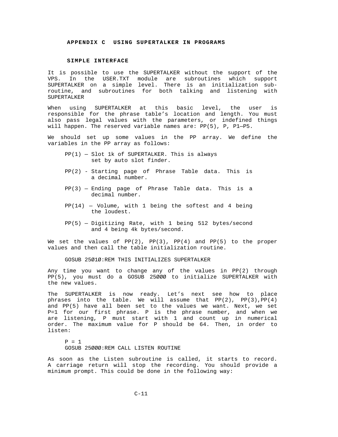#### **SIMPLE INTERFACE**

<span id="page-46-0"></span>It is possible to use the SUPERTALKER without the support of the VPS. In the USER.TXT module are subroutines which support SUPERTALKER on a simple level. There is an initialization subroutine, and subroutines for both talking and listening with SUPERTALKER

When using SUPERTALKER at this basic level, the user is responsible for the phrase table's location and length. You must also pass legal values with the parameters, or indefined things will happen. The reserved variable names are: PP(5), P, P1—P5.

We should set up some values in the PP array. We define the variables in the PP array as follows:

- PP(1) Slot 1k of SUPERTALKER. This is always set by auto slot finder.
- PP(2) Starting page of Phrase Table data. This is a decimal number.
- PP(3) Ending page of Phrase Table data. This is a decimal number.
- $PP(14)$  Volume, with 1 being the softest and 4 being the loudest.
- PP(5) Digitizing Rate, with 1 being 512 bytes/second and 4 being 4k bytes/second.

We set the values of  $PP(2)$ ,  $PP(3)$ ,  $PP(4)$  and  $PP(5)$  to the proper values and then call the table initialization routine.

GOSUB 25Ø1Ø:REM THIS INITIALIZES SUPERTALKER

Any time you want to change any of the values in PP(2) through PP(5), you must do a GOSUB 25ØØØ to initialize SUPERTALKER with the new values.

The SUPERTALKER is now ready. Let's next see how to place phrases into the table. We will assume that PP(2), PP(3),PP(4) and PP(5) have all been set to the values we want. Next, we set P=1 for our first phrase. P is the phrase number, and when we are listening, P must start with 1 and count up in numerical order. The maximum value for P should be 64. Then, in order to listen:

 $P = 1$ GOSUB 25ØØØ:REM CALL LISTEN ROUTINE

As soon as the Listen subroutine is called, it starts to record. A carriage return will stop the recording. You should provide a minimum prompt. This could be done in the following way: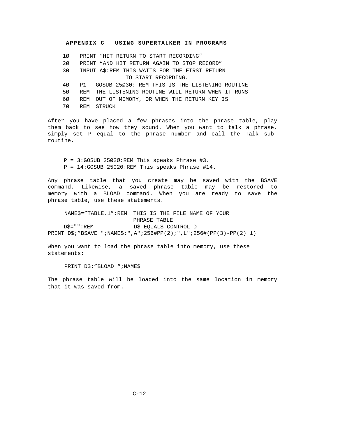1Ø PRINT "HIT RETURN TO START RECORDING" 2Ø PRINT "AND HIT RETURN AGAIN TO STOP RECORD" 3Ø INPUT A\$:REM THIS WAITS FOR THE FIRST RETURN TO START RECORDING. 4Ø P1 GOSUB 25Ø3Ø: REM THIS IS THE LISTENING ROUTINE 5Ø REM THE LISTENING ROUTINE WILL RETURN WHEN IT RUNS 6Ø REM OUT OF MEMORY, OR WHEN THE RETURN KEY IS 7Ø REM STRUCK

After you have placed a few phrases into the phrase table, play them back to see how they sound. When you want to talk a phrase, simply set P equal to the phrase number and call the Talk subroutine.

P = 3:GOSUB 25Ø2Ø:REM This speaks Phrase #3. P = 14:GOSUB 25020:REM This speaks Phrase #14.

Any phrase table that you create may be saved with the BSAVE command. Likewise, a saved phrase table may be restored to memory with a BLOAD command. When you are ready to save the phrase table, use these statements.

NAME\$="TABLE.1":REM THIS IS THE FILE NAME OF YOUR PHRASE TABLE D\$="":REM D\$ EQUALS CONTROL—D PRINT D\$;"BSAVE ";NAME\$;",A";256#PP(2);",L";256#(PP(3)-PP(2)+l)

When you want to load the phrase table into memory, use these statements:

PRINT D\$; "BLOAD "; NAME\$

The phrase table will be loaded into the same location in memory that it was saved from.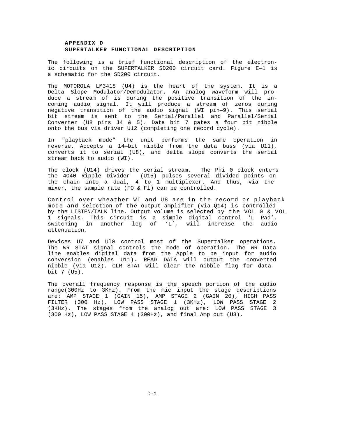#### **APPENDIX D SUPERTALKER FUNCTIONAL DESCRIPTION**

The following is a brief functional description of the electronic circuits on the SUPERTALKER SD200 circuit card. Figure E—1 is a schematic for the SD200 circuit.

The MOTOROLA LM3418 (U4) is the heart of the system. It is a Delta Slope Modulator/Demodulator. An analog waveform will produce a stream of is during the positive transition of the incoming audio signal. It will produce a stream of zeros during negative transition of the audio signal (WI pin—9). This serial bit stream is sent to the Serial/Parallel and Parallel/Serial Converter (U8 pins J4 & 5). Data bit 7 gates a four bit nibble onto the bus via driver U12 (completing one record cycle).

In "playback mode" the unit performs the same operation in reverse. Accepts a 14—bit nibble from the data buss (via U11), converts it to serial (U8), and delta slope converts the serial stream back to audio (WI).

The clock (U14) drives the serial stream. The Phi 0 clock enters the 4O40 Ripple Divider (U15) pulses several divided points on the chain into a dual, 4 to 1 multiplexer. And thus, via the mixer, the sample rate (FO & Fl) can be controlled.

<span id="page-48-0"></span>Control over wheather WI and U8 are in the record or playback mode and selection of the output amplifier (via Q14) is controlled by the LISTEN/TALK line. Output volume is selected by the VOL 0 & VOL 1 signals. This circuit is a simple digital control 'L Pad', switching in another leg of 'L', will increase the audio attenuation.

Devices U7 and Ul0 control most of the Supertalker operations. The WR STAT signal controls the mode of operation. The WR Data line enables digital data from the Apple to be input for audio conversion (enables U11). READ DATA will output the converted nibble (via U12). CLR STAT will clear the nibble flag for data bit 7 (U5).

The overall frequency response is the speech portion of the audio range(300Hz to 3KHz). From the mic input the stage descriptions are: AMP STAGE 1 (GAIN 15), AMP STAGE 2 (GAIN 20), HIGH PASS FILTER (300 Hz), LOW PASS STAGE 1 (3KHz), LOW PASS STAGE 2 (3KHz). The stages from the analog out are: LOW PASS STAGE 3 (300 Hz), LOW PASS STAGE 4 (300Hz), and final Amp out (U3).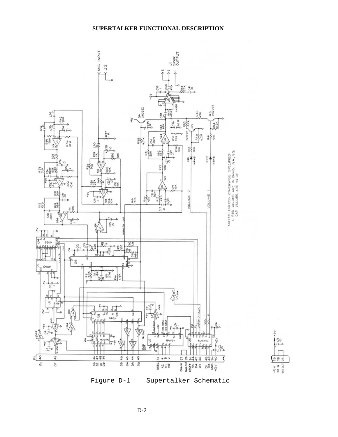



 $D-2$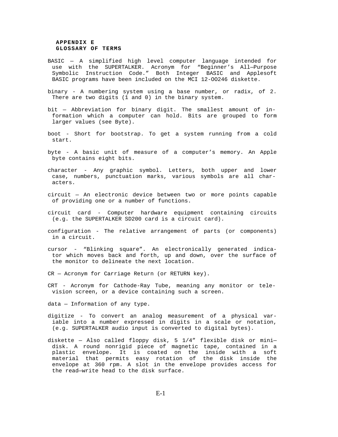#### **APPENDIX E GLOSSARY OF TERMS**

- BASIC A simplified high level computer language intended for use with the SUPERTALKER. Acronym for "Beginner's All—Purpose Symbolic Instruction Code." Both Integer BASIC and Applesoft BASIC programs have been included on the MCI 12-OO246 diskette.
- binary A numbering system using a base number, or radix, of 2. There are two digits (1 and 0) in the binary system.
- bit Abbreviation for binary digit. The smallest amount of information which a computer can hold. Bits are grouped to form larger values (see Byte).
- boot Short for bootstrap. To get a system running from a cold start.
- byte A basic unit of measure of a computer's memory. An Apple byte contains eight bits.
- character Any graphic symbol. Letters, both upper and lower case, numbers, punctuation marks, various symbols are all characters.
- <span id="page-50-0"></span>circuit — An electronic device between two or more points capable of providing one or a number of functions.
- circuit card Computer hardware equipment containing circuits (e.g. the SUPERTALKER SD200 card is a circuit card).
- configuration The relative arrangement of parts (or components) in a circuit.
- cursor "Blinking square". An electronically generated indicator which moves back and forth, up and down, over the surface of the monitor to delineate the next location.

CR — Acronym for Carriage Return (or RETURN key).

CRT - Acronym for Cathode-Ray Tube, meaning any monitor or television screen, or a device containing such a screen.

data — Information of any type.

- digitize To convert an analog measurement of a physical variable into a number expressed in digits in a scale or notation, (e.g. SUPERTALKER audio input is converted to digital bytes).
- diskette Also called floppy disk, 5 1/4" flexible disk or mini disk. A round nonrigid piece of magnetic tape, contained in a plastic envelope. It is coated on the inside with a soft material that permits easy rotation of the disk inside the envelope at 360 rpm. A slot in the envelope provides access for the read—write head to the disk surface.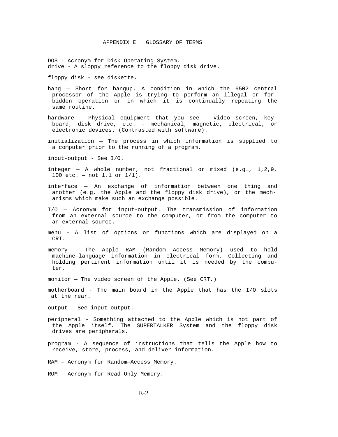DOS - Acronym for Disk Operating System. drive - A sloppy reference to the floppy disk drive.

floppy disk - see diskette.

- hang Short for hangup. A condition in which the 6502 central processor of the Apple is trying to perform an illegal or forbidden operation or in which it is continually repeating the same routine.
- hardware Physical equipment that you see video screen, keyboard, disk drive, etc. - mechanical, magnetic, electrical, or electronic devices. (Contrasted with software).
- initialization The process in which information is supplied to a computer prior to the running of a program.

input-output - See I/O.

- integer A whole number, not fractional or mixed  $(e.g., 1,2,9,$ 100 etc. — not 1.1 or 1/1).
- interface An exchange of information between one thing and another (e.g. the Apple and the floppy disk drive), or the mechanisms which make such an exchange possible.
- I/O Acronym for input-output. The transmission of information from an external source to the computer, or from the computer to an external source.
- menu A list of options or functions which are displayed on a CRT.
- memory The Apple RAM (Random Access Memory) used to hold machine—language information in electrical form. Collecting and holding pertinent information until it is needed by the computer.
- monitor The video screen of the Apple. (See CRT.)
- motherboard The main board in the Apple that has the I/O slots at the rear.

output — See input—output.

- peripheral Something attached to the Apple which is not part of the Apple itself. The SUPERTALKER System and the floppy disk drives are peripherals.
- program A sequence of instructions that tells the Apple how to receive, store, process, and deliver information.

RAM — Acronym for Random—Access Memory.

ROM - Acronym for Read-Only Memory.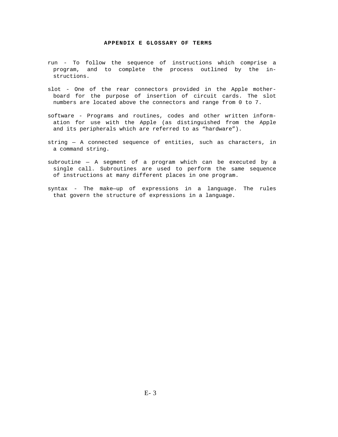#### **APPENDIX E GLOSSARY OF TERMS**

- run To follow the sequence of instructions which comprise a program, and to complete the process outlined by the instructions.
- slot One of the rear connectors provided in the Apple motherboard for the purpose of insertion of circuit cards. The slot numbers are located above the connectors and range from 0 to 7.
- software Programs and routines, codes and other written information for use with the Apple (as distinguished from the Apple and its peripherals which are referred to as "hardware").
- string A connected sequence of entities, such as characters, in a command string.
- subroutine A segment of a program which can be executed by a single call. Subroutines are used to perform the same sequence of instructions at many different places in one program.
- syntax The make—up of expressions in a language. The rules that govern the structure of expressions in a language.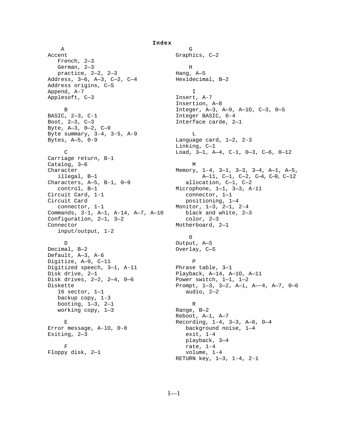A G Accent Graphics, C-2 French, 2—3 German, 2-3 H practice,  $2-2$ ,  $2-3$  Hang,  $A-5$ Address, 3-6, A-3, C-2, C-4 Hexidecimal, B-2 Address origins, C—S Append, A-7 I Applesoft, C-3 Insert, A-7 BASIC, 2-3, C-1 Integer BASIC, 0-4<br>Boot, 2-3, C-3 Interface carde, 2 Byte, A—3, 0—2, C—9 Byte summary, 3-4, 3-5, A-9 L Bytes, A—5, 0-9 Language card, 1—2, 2-3 Carriage return, B-1 Catalog, 3–6 M Characters, A-5, B-1, 0-9 allocation, C-1, C-2<br>control, B-1 microphone, 1-1, 3-3, A Circuit Card, 1-1 Circuit Card **positioning**,  $1-4$  connector, 1-1 Monitor, 1—3, 2—1, 2-4 Commands, 3-1, A—1, A-14, A—7, A—10 black and white, 2—3 Configuration,  $2-1$ ,  $3-2$  color,  $2-3$ Connector Motherboard, 2-1 input/output, 1-2 D Output, A—S Decimal, B—2 Overlay, C—S Default, A—3, A-6 Digitize, A-9, C-11 P Digitized speech, 3—1, A-11 Phrase table, 3—1 Disk drive, 2—1 Playback, A—14, A—1O, A—11 Disk drives, 2—2, 2—4, 0—6 Power switch, 1—1, 1—2 16 sector, 1—1 audio, 2—2 backup copy, 1-3 booting,  $1-3$ ,  $2-1$  R working copy,  $1-3$  Range,  $B-2$ Error message, A-lO, 0-8 background noise, 1—4 Exiting, 2—3 exit, 1-4  $\begin{array}{ccc}\n\text{F} & \text{rate, } 1-4 \\
\text{y disk, } 2-1 & \text{volume, } 1-4\n\end{array}$ Floppy disk,  $2-1$ 

<span id="page-53-0"></span>Insertion, A—8 B Integer, A-3, A-9, A-10, C-3, 0-5<br>BASIC, 2-3, C-1<br>Integer BASIC, 0-4 Interface carde, 2-1 Linking, C—1 C Load, 3—1, A—4, C-1, 0—3, C—6, 0—12 Character Memory, 1-4, 3-1, 3-3, 3-4, A-1, A-5, illegal,  $B-1$   $A-11$ ,  $C-1$ ,  $C-2$ ,  $C-4$ ,  $C-9$ ,  $C-12$ Microphone,  $1-1$ ,  $3-3$ ,  $A-11$ <br>connector,  $1-1$  0 Diskette Prompt, 1—3, 3—2, A—i, A—~4, A—7, 0—6 Reboot, A—1, A—7 E Recording, 1-4, 3—3, A—6, 0—4 playback, 3—4 RETURN key, 1—3, 1-4, 2-1

**Index**